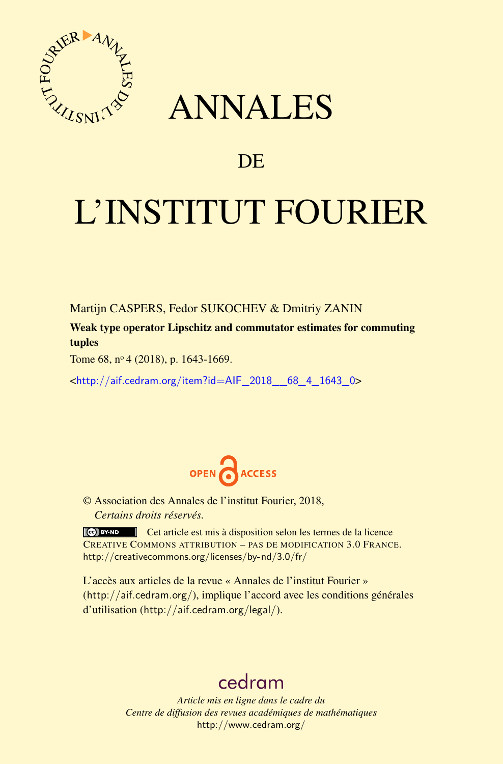

## ANNALES

### **DE**

# L'INSTITUT FOURIER

Martijn CASPERS, Fedor SUKOCHEV & Dmitriy ZANIN

Weak type operator Lipschitz and commutator estimates for commuting tuples

Tome 68, nº 4 (2018), p. 1643-1669.

<[http://aif.cedram.org/item?id=AIF\\_2018\\_\\_68\\_4\\_1643\\_0](http://aif.cedram.org/item?id=AIF_2018__68_4_1643_0)>



© Association des Annales de l'institut Fourier, 2018, *Certains droits réservés.*

Cet article est mis à disposition selon les termes de la licence CREATIVE COMMONS ATTRIBUTION – PAS DE MODIFICATION 3.0 FRANCE. <http://creativecommons.org/licenses/by-nd/3.0/fr/>

L'accès aux articles de la revue « Annales de l'institut Fourier » (<http://aif.cedram.org/>), implique l'accord avec les conditions générales d'utilisation (<http://aif.cedram.org/legal/>).

## [cedram](http://www.cedram.org/)

*Article mis en ligne dans le cadre du Centre de diffusion des revues académiques de mathématiques* <http://www.cedram.org/>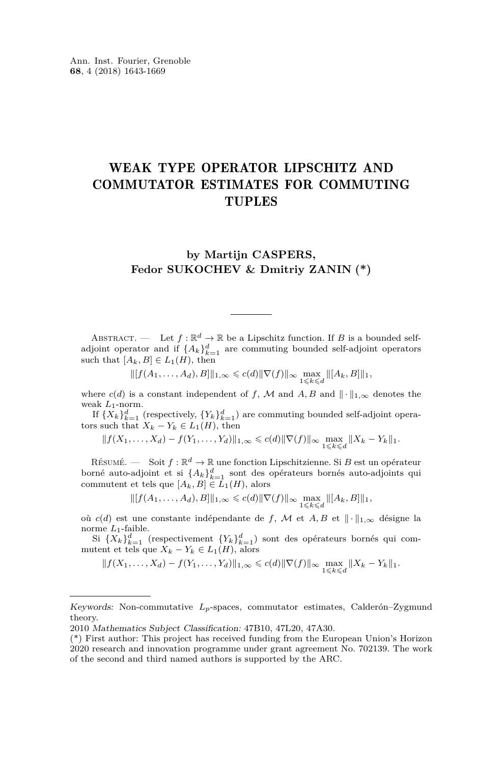#### WEAK TYPE OPERATOR LIPSCHITZ AND COMMUTATOR ESTIMATES FOR COMMUTING TUPLES

#### **by Martijn CASPERS, Fedor SUKOCHEV & Dmitriy ZANIN (\*)**

ABSTRACT. — Let  $f : \mathbb{R}^d \to \mathbb{R}$  be a Lipschitz function. If *B* is a bounded selfadjoint operator and if  $\{A_k\}_{k=1}^d$  are commuting bounded self-adjoint operators such that  $[A_k, B] \in L_1(H)$ , then

$$
\| [f(A_1, \ldots, A_d), B] \|_{1,\infty} \leq c(d) \|\nabla(f)\|_{\infty} \max_{1 \leq k \leq d} \| [A_k, B] \|_{1},
$$

where  $c(d)$  is a constant independent of *f*, *M* and *A*, *B* and  $\|\cdot\|_{1,\infty}$  denotes the weak *L*1-norm.

If  $\{X_k\}_{k=1}^d$  (respectively,  $\{Y_k\}_{k=1}^d$ ) are commuting bounded self-adjoint operators such that  $X_k - Y_k \in L_1(H)$ , then

 $||f(X_1, \ldots, X_d) - f(Y_1, \ldots, Y_d)||_{1,\infty} \leq c(d) ||\nabla(f)||_{\infty} \max_{1 \leq k \leq d} ||X_k - Y_k||_1.$ 

RÉSUMÉ. — Soit  $f: \mathbb{R}^d \to \mathbb{R}$  une fonction Lipschitzienne. Si *B* est un opérateur borné auto-adjoint et si  $\{A_k\}_{k=1}^d$  sont des opérateurs bornés auto-adjoints qui commutent et tels que  $[A_k, B] \in L_1(H)$ , alors

 $||[f(A_1, ..., A_d), B]||_{1,\infty} \leq c(d) ||\nabla(f)||_{\infty} \max_{1 \leq k \leq d} ||[A_k, B]||_1$ 

où *c*(*d*) est une constante indépendante de *f*, *M* et *A*, *B* et  $\|\cdot\|_{1,\infty}$  désigne la norme *L*1-faible.

Si  $\{X_k\}_{k=1}^d$  (respectivement  $\{Y_k\}_{k=1}^d$ ) sont des opérateurs bornés qui commutent et tels que  $X_k - Y_k \in L_1(H)$ , alors

 $||f(X_1, \ldots, X_d) - f(Y_1, \ldots, Y_d)||_{1,\infty} \leq c(d) ||\nabla(f)||_{\infty} \max_{1 \leq k \leq d} ||X_k - Y_k||_1.$ 

Keywords: Non-commutative *Lp*-spaces, commutator estimates, Calderón–Zygmund theory.

<sup>2010</sup> Mathematics Subject Classification: 47B10, 47L20, 47A30.

<sup>(\*)</sup> First author: This project has received funding from the European Union's Horizon 2020 research and innovation programme under grant agreement No. 702139. The work of the second and third named authors is supported by the ARC.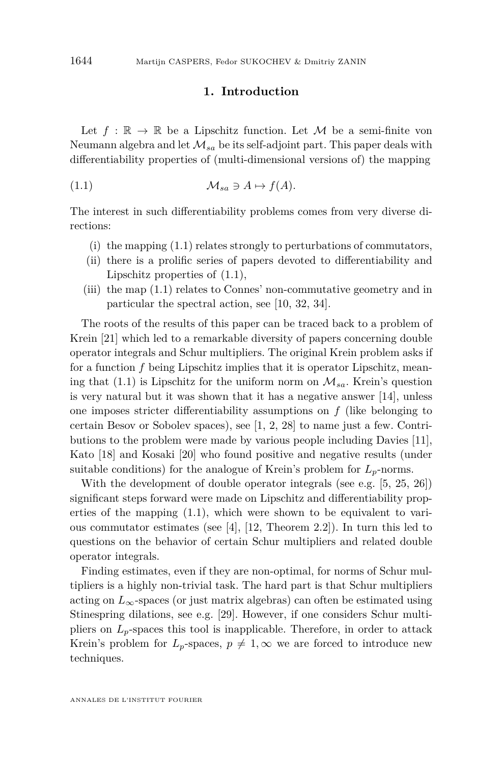#### <span id="page-2-0"></span>**1. Introduction**

Let  $f : \mathbb{R} \to \mathbb{R}$  be a Lipschitz function. Let M be a semi-finite von Neumann algebra and let  $\mathcal{M}_{sa}$  be its self-adjoint part. This paper deals with differentiability properties of (multi-dimensional versions of) the mapping

(1.1) M*sa* 3 *A* 7→ *f*(*A*)*.*

The interest in such differentiability problems comes from very diverse directions:

- (i) the mapping [\(1.1\)](#page-2-0) relates strongly to perturbations of commutators,
- (ii) there is a prolific series of papers devoted to differentiability and Lipschitz properties of [\(1.1\)](#page-2-0),
- (iii) the map [\(1.1\)](#page-2-0) relates to Connes' non-commutative geometry and in particular the spectral action, see [\[10,](#page-26-0) [32,](#page-27-0) [34\]](#page-27-1).

The roots of the results of this paper can be traced back to a problem of Krein [\[21\]](#page-26-1) which led to a remarkable diversity of papers concerning double operator integrals and Schur multipliers. The original Krein problem asks if for a function *f* being Lipschitz implies that it is operator Lipschitz, mean-ing that [\(1.1\)](#page-2-0) is Lipschitz for the uniform norm on  $\mathcal{M}_{sa}$ . Krein's question is very natural but it was shown that it has a negative answer [\[14\]](#page-26-2), unless one imposes stricter differentiability assumptions on *f* (like belonging to certain Besov or Sobolev spaces), see [\[1,](#page-25-0) [2,](#page-25-1) [28\]](#page-26-3) to name just a few. Contributions to the problem were made by various people including Davies [\[11\]](#page-26-4), Kato [\[18\]](#page-26-5) and Kosaki [\[20\]](#page-26-6) who found positive and negative results (under suitable conditions) for the analogue of Krein's problem for  $L_p$ -norms.

With the development of double operator integrals (see e.g. [\[5,](#page-25-2) [25,](#page-26-7) [26\]](#page-26-8)) significant steps forward were made on Lipschitz and differentiability properties of the mapping  $(1.1)$ , which were shown to be equivalent to various commutator estimates (see [\[4\]](#page-25-3), [\[12,](#page-26-9) Theorem 2.2]). In turn this led to questions on the behavior of certain Schur multipliers and related double operator integrals.

Finding estimates, even if they are non-optimal, for norms of Schur multipliers is a highly non-trivial task. The hard part is that Schur multipliers acting on  $L_{\infty}$ -spaces (or just matrix algebras) can often be estimated using Stinespring dilations, see e.g. [\[29\]](#page-26-10). However, if one considers Schur multipliers on  $L_p$ -spaces this tool is inapplicable. Therefore, in order to attack Krein's problem for  $L_p$ -spaces,  $p \neq 1$ ,  $\infty$  we are forced to introduce new techniques.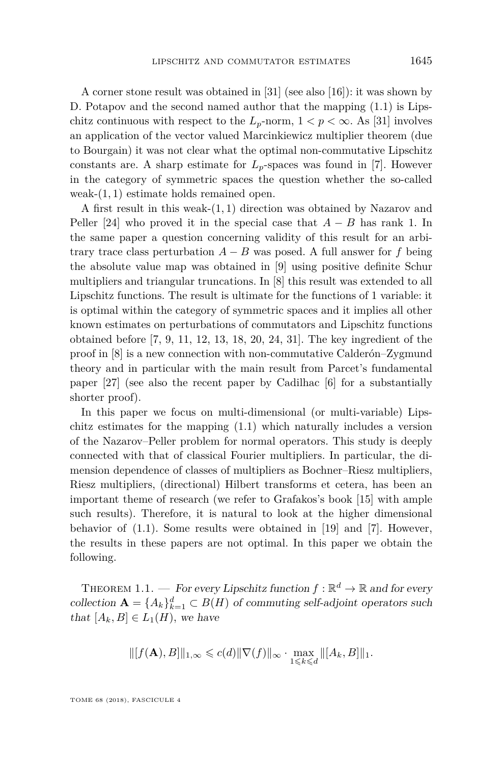A corner stone result was obtained in [\[31\]](#page-27-2) (see also [\[16\]](#page-26-11)): it was shown by D. Potapov and the second named author that the mapping [\(1.1\)](#page-2-0) is Lipschitz continuous with respect to the  $L_p$ -norm,  $1 < p < \infty$ . As [\[31\]](#page-27-2) involves an application of the vector valued Marcinkiewicz multiplier theorem (due to Bourgain) it was not clear what the optimal non-commutative Lipschitz constants are. A sharp estimate for  $L_p$ -spaces was found in [\[7\]](#page-25-4). However in the category of symmetric spaces the question whether the so-called weak-(1*,* 1) estimate holds remained open.

A first result in this weak-(1*,* 1) direction was obtained by Nazarov and Peller [\[24\]](#page-26-12) who proved it in the special case that  $A - B$  has rank 1. In the same paper a question concerning validity of this result for an arbitrary trace class perturbation  $A - B$  was posed. A full answer for  $f$  being the absolute value map was obtained in [\[9\]](#page-26-13) using positive definite Schur multipliers and triangular truncations. In [\[8\]](#page-25-5) this result was extended to all Lipschitz functions. The result is ultimate for the functions of 1 variable: it is optimal within the category of symmetric spaces and it implies all other known estimates on perturbations of commutators and Lipschitz functions obtained before [\[7,](#page-25-4) [9,](#page-26-13) [11,](#page-26-4) [12,](#page-26-9) [13,](#page-26-14) [18,](#page-26-5) [20,](#page-26-6) [24,](#page-26-12) [31\]](#page-27-2). The key ingredient of the proof in [\[8\]](#page-25-5) is a new connection with non-commutative Calderón–Zygmund theory and in particular with the main result from Parcet's fundamental paper [\[27\]](#page-26-15) (see also the recent paper by Cadilhac [\[6\]](#page-25-6) for a substantially shorter proof).

In this paper we focus on multi-dimensional (or multi-variable) Lipschitz estimates for the mapping [\(1.1\)](#page-2-0) which naturally includes a version of the Nazarov–Peller problem for normal operators. This study is deeply connected with that of classical Fourier multipliers. In particular, the dimension dependence of classes of multipliers as Bochner–Riesz multipliers, Riesz multipliers, (directional) Hilbert transforms et cetera, has been an important theme of research (we refer to Grafakos's book [\[15\]](#page-26-16) with ample such results). Therefore, it is natural to look at the higher dimensional behavior of [\(1.1\)](#page-2-0). Some results were obtained in [\[19\]](#page-26-17) and [\[7\]](#page-25-4). However, the results in these papers are not optimal. In this paper we obtain the following.

<span id="page-3-0"></span>THEOREM 1.1. — For every Lipschitz function  $f : \mathbb{R}^d \to \mathbb{R}$  and for every collection  $\mathbf{A} = \{A_k\}_{k=1}^d \subset B(H)$  of commuting self-adjoint operators such that  $[A_k, B] \in L_1(H)$ , we have

$$
\|[f(\mathbf{A}),B]\|_{1,\infty} \leq c(d) \|\nabla(f)\|_{\infty} \cdot \max_{1 \leq k \leq d} \|[A_k,B]\|_{1}.
$$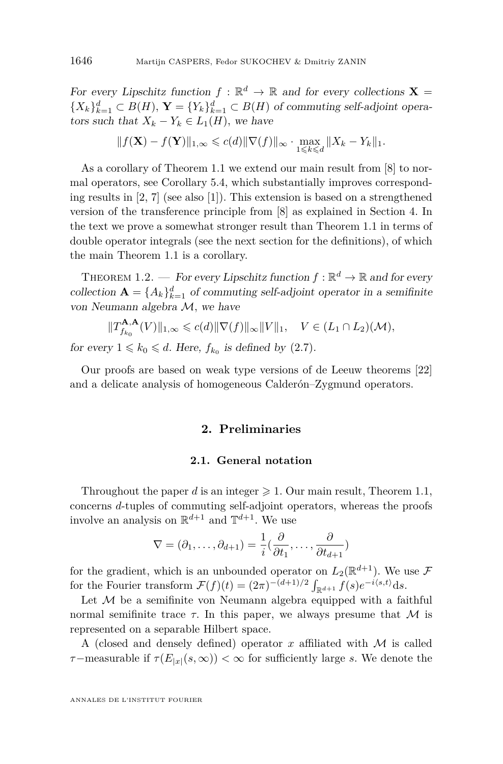For every Lipschitz function  $f : \mathbb{R}^d \to \mathbb{R}$  and for every collections **X** =  ${X_k}_{k=1}^d \subset B(H)$ ,  $\mathbf{Y} = {Y_k}_{k=1}^d \subset B(H)$  of commuting self-adjoint operators such that  $X_k - Y_k \in L_1(H)$ , we have

$$
\|f(\mathbf{X}) - f(\mathbf{Y})\|_{1,\infty} \leq c(d) \|\nabla(f)\|_{\infty} \cdot \max_{1 \leq k \leq d} \|X_k - Y_k\|_1.
$$

As a corollary of Theorem [1.1](#page-3-0) we extend our main result from [\[8\]](#page-25-5) to normal operators, see Corollary [5.4,](#page-23-0) which substantially improves corresponding results in [\[2,](#page-25-1) [7\]](#page-25-4) (see also [\[1\]](#page-25-0)). This extension is based on a strengthened version of the transference principle from [\[8\]](#page-25-5) as explained in Section [4.](#page-18-0) In the text we prove a somewhat stronger result than Theorem [1.1](#page-3-0) in terms of double operator integrals (see the next section for the definitions), of which the main Theorem [1.1](#page-3-0) is a corollary.

<span id="page-4-0"></span>THEOREM 1.2. — For every Lipschitz function  $f : \mathbb{R}^d \to \mathbb{R}$  and for every collection  $\mathbf{A} = \{A_k\}_{k=1}^d$  of commuting self-adjoint operator in a semifinite von Neumann algebra M*,* we have

$$
||T_{f_{k_0}}^{\mathbf{A},\mathbf{A}}(V)||_{1,\infty} \leqslant c(d)||\nabla(f)||_{\infty}||V||_1, \quad V \in (L_1 \cap L_2)(\mathcal{M}),
$$

for every  $1 \leq k_0 \leq d$ . Here,  $f_{k_0}$  is defined by [\(2.7\)](#page-8-0).

Our proofs are based on weak type versions of de Leeuw theorems [\[22\]](#page-26-18) and a delicate analysis of homogeneous Calderón–Zygmund operators.

#### **2. Preliminaries**

#### **2.1. General notation**

Throughout the paper *d* is an integer  $\geq 1$ . Our main result, Theorem [1.1,](#page-3-0) concerns *d*-tuples of commuting self-adjoint operators, whereas the proofs involve an analysis on  $\mathbb{R}^{d+1}$  and  $\mathbb{T}^{d+1}$ . We use

$$
\nabla = (\partial_1, \dots, \partial_{d+1}) = \frac{1}{i}(\frac{\partial}{\partial t_1}, \dots, \frac{\partial}{\partial t_{d+1}})
$$

for the gradient, which is an unbounded operator on  $L_2(\mathbb{R}^{d+1})$ . We use  $\mathcal F$ for the Fourier transform  $\mathcal{F}(f)(t) = (2\pi)^{-(d+1)/2} \int_{\mathbb{R}^{d+1}} f(s) e^{-i\langle s,t \rangle} ds$ .

Let  $M$  be a semifinite von Neumann algebra equipped with a faithful normal semifinite trace  $\tau$ . In this paper, we always presume that M is represented on a separable Hilbert space.

A (closed and densely defined) operator *x* affiliated with M is called *τ*−measurable if  $\tau(E_{|x|}(s,\infty)) < \infty$  for sufficiently large *s*. We denote the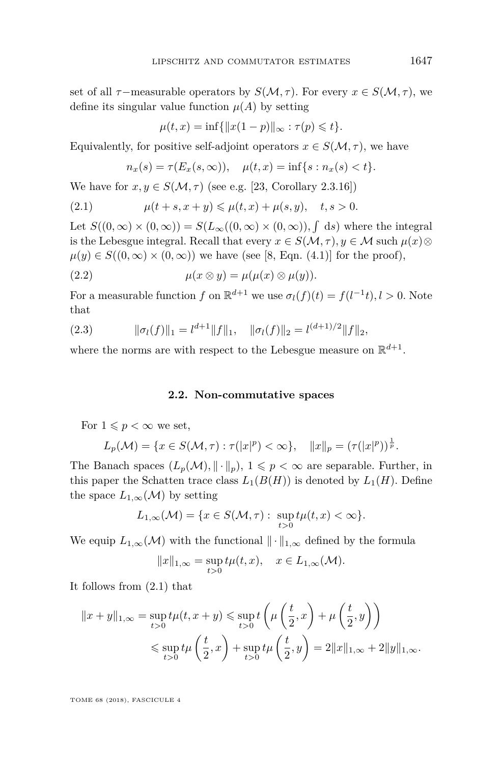set of all  $\tau$ −measurable operators by  $S(\mathcal{M}, \tau)$ *.* For every  $x \in S(\mathcal{M}, \tau)$ *,* we define its singular value function  $\mu(A)$  by setting

$$
\mu(t, x) = \inf \{ ||x(1 - p)||_{\infty} : \tau(p) \leq t \}.
$$

Equivalently, for positive self-adjoint operators  $x \in S(\mathcal{M}, \tau)$ , we have

<span id="page-5-0"></span>
$$
n_x(s) = \tau(E_x(s, \infty)), \quad \mu(t, x) = \inf\{s : n_x(s) < t\}.
$$

We have for  $x, y \in S(\mathcal{M}, \tau)$  (see e.g. [\[23,](#page-26-19) Corollary 2.3.16])

(2.1) 
$$
\mu(t+s, x+y) \le \mu(t,x) + \mu(s,y), \quad t, s > 0.
$$

Let  $S((0,\infty) \times (0,\infty)) = S(L_\infty((0,\infty) \times (0,\infty)), \int ds)$  where the integral is the Lebesgue integral. Recall that every  $x \in S(\mathcal{M}, \tau)$ ,  $y \in \mathcal{M}$  such  $\mu(x) \otimes$  $\mu(y) \in S((0,\infty) \times (0,\infty))$  we have (see [\[8,](#page-25-5) Eqn. (4.1)] for the proof),

<span id="page-5-2"></span>(2.2) 
$$
\mu(x \otimes y) = \mu(\mu(x) \otimes \mu(y)).
$$

For a measurable function *f* on  $\mathbb{R}^{d+1}$  we use  $\sigma_l(f)(t) = f(l^{-1}t), l > 0$ . Note that

<span id="page-5-1"></span>(2.3) 
$$
\|\sigma_l(f)\|_1 = l^{d+1} \|f\|_1, \quad \|\sigma_l(f)\|_2 = l^{(d+1)/2} \|f\|_2,
$$

where the norms are with respect to the Lebesgue measure on  $\mathbb{R}^{d+1}$ .

#### **2.2. Non-commutative spaces**

For  $1 \leqslant p < \infty$  we set,

$$
L_p(\mathcal{M}) = \{ x \in S(\mathcal{M}, \tau) : \tau(|x|^p) < \infty \}, \quad ||x||_p = (\tau(|x|^p))^{\frac{1}{p}}.
$$

The Banach spaces  $(L_p(\mathcal{M}), \|\cdot\|_p), 1 \leq p < \infty$  are separable. Further, in this paper the Schatten trace class  $L_1(B(H))$  is denoted by  $L_1(H)$ . Define the space  $L_{1,\infty}(\mathcal{M})$  by setting

$$
L_{1,\infty}(\mathcal{M}) = \{x \in S(\mathcal{M}, \tau) : \sup_{t>0} t\mu(t, x) < \infty\}.
$$

We equip  $L_{1,\infty}(\mathcal{M})$  with the functional  $\|\cdot\|_{1,\infty}$  defined by the formula

$$
||x||_{1,\infty} = \sup_{t>0} t\mu(t,x), \quad x \in L_{1,\infty}(\mathcal{M}).
$$

It follows from [\(2.1\)](#page-5-0) that

$$
||x + y||_{1,\infty} = \sup_{t>0} t\mu(t, x + y) \le \sup_{t>0} t\left(\mu\left(\frac{t}{2}, x\right) + \mu\left(\frac{t}{2}, y\right)\right)
$$
  

$$
\le \sup_{t>0} t\mu\left(\frac{t}{2}, x\right) + \sup_{t>0} t\mu\left(\frac{t}{2}, y\right) = 2||x||_{1,\infty} + 2||y||_{1,\infty}.
$$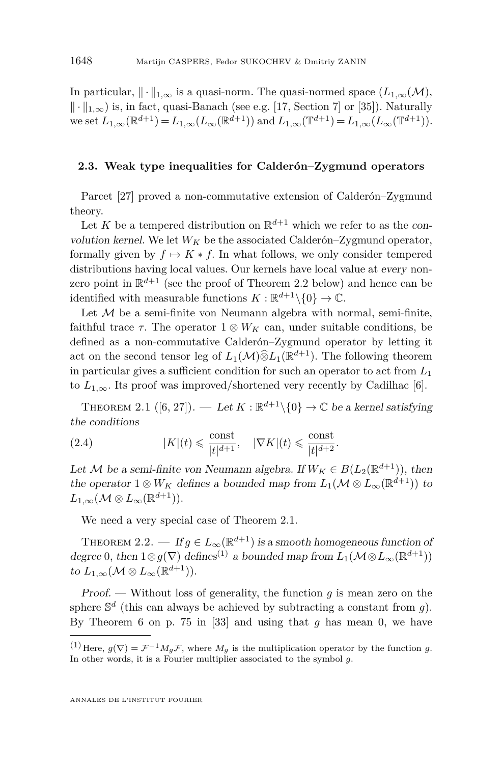In particular,  $\|\cdot\|_{1,\infty}$  is a quasi-norm. The quasi-normed space  $(L_{1,\infty}(\mathcal{M}),$  $\|\cdot\|_{1,\infty}$ ) is, in fact, quasi-Banach (see e.g. [\[17,](#page-26-20) Section 7] or [\[35\]](#page-27-3)). Naturally  $w \in \text{set } L_{1,\infty}(\mathbb{R}^{d+1}) = L_{1,\infty}(L_{\infty}(\mathbb{R}^{d+1})) \text{ and } L_{1,\infty}(\mathbb{T}^{d+1}) = L_{1,\infty}(L_{\infty}(\mathbb{T}^{d+1})).$ 

#### **2.3. Weak type inequalities for Calderón–Zygmund operators**

Parcet [\[27\]](#page-26-15) proved a non-commutative extension of Calderón–Zygmund theory.

Let *K* be a tempered distribution on  $\mathbb{R}^{d+1}$  which we refer to as the convolution kernel. We let  $W_K$  be the associated Calderón–Zygmund operator, formally given by  $f \mapsto K * f$ . In what follows, we only consider tempered distributions having local values. Our kernels have local value at every nonzero point in  $\mathbb{R}^{d+1}$  (see the proof of Theorem [2.2](#page-6-0) below) and hence can be identified with measurable functions  $K: \mathbb{R}^{d+1}\setminus\{0\} \to \mathbb{C}$ .

Let  $M$  be a semi-finite von Neumann algebra with normal, semi-finite, faithful trace  $\tau$ . The operator  $1 \otimes W_K$  can, under suitable conditions, be defined as a non-commutative Calderón–Zygmund operator by letting it act on the second tensor leg of  $L_1(\mathcal{M})\widehat{\otimes} L_1(\mathbb{R}^{d+1})$ . The following theorem in particular gives a sufficient condition for such an operator to act from *L*<sup>1</sup> to  $L_{1,\infty}$ . Its proof was improved/shortened very recently by Cadilhac [\[6\]](#page-25-6).

<span id="page-6-1"></span>THEOREM 2.1  $([6, 27])$  $([6, 27])$  $([6, 27])$  $([6, 27])$  $([6, 27])$ . — Let  $K : \mathbb{R}^{d+1} \setminus \{0\} \to \mathbb{C}$  be a kernel satisfying the conditions

<span id="page-6-2"></span>(2.4) 
$$
|K|(t) \leq \frac{\text{const}}{|t|^{d+1}}, \quad |\nabla K|(t) \leq \frac{\text{const}}{|t|^{d+2}}.
$$

Let M be a semi-finite von Neumann algebra. If  $W_K \in B(L_2(\mathbb{R}^{d+1}))$ , then the operator  $1 \otimes W_K$  defines a bounded map from  $L_1(\mathcal{M} \otimes L_\infty(\mathbb{R}^{d+1}))$  to  $L_{1,\infty}(\mathcal{M}\otimes L_\infty(\mathbb{R}^{d+1})).$ 

We need a very special case of Theorem [2.1.](#page-6-1)

<span id="page-6-0"></span>THEOREM 2.2. — If  $g \in L_\infty(\mathbb{R}^{d+1})$  is a smooth homogeneous function of degree 0, then  $1 \otimes g(\nabla)$  defines<sup>(1)</sup> a bounded map from  $L_1(\mathcal{M} \otimes L_\infty(\mathbb{R}^{d+1}))$ to  $L_{1,\infty}(\mathcal{M} \otimes L_{\infty}(\mathbb{R}^{d+1})).$ 

Proof. — Without loss of generality, the function *g* is mean zero on the sphere  $\mathbb{S}^d$  (this can always be achieved by subtracting a constant from *g*). By Theorem 6 on p. 75 in [\[33\]](#page-27-4) and using that *g* has mean 0, we have

<sup>&</sup>lt;sup>(1)</sup> Here,  $g(\nabla) = \mathcal{F}^{-1} M_g \mathcal{F}$ , where  $M_g$  is the multiplication operator by the function *g*. In other words, it is a Fourier multiplier associated to the symbol *g.*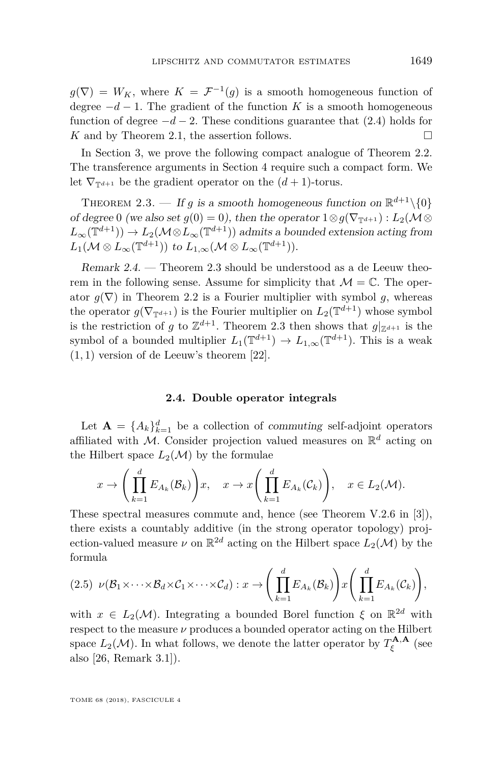$g(\nabla) = W_K$ , where  $K = \mathcal{F}^{-1}(g)$  is a smooth homogeneous function of degree  $-d-1$ . The gradient of the function *K* is a smooth homogeneous function of degree  $-d-2$ . These conditions guarantee that  $(2.4)$  holds for *K* and by Theorem [2.1,](#page-6-1) the assertion follows. □

In Section [3,](#page-8-1) we prove the following compact analogue of Theorem [2.2.](#page-6-0) The transference arguments in Section [4](#page-18-0) require such a compact form. We let  $\nabla_{\mathbb{T}^{d+1}}$  be the gradient operator on the  $(d+1)$ -torus.

<span id="page-7-0"></span>THEOREM 2.3. — If *g* is a smooth homogeneous function on  $\mathbb{R}^{d+1}\setminus\{0\}$ of degree 0 (we also set  $g(0) = 0$ ), then the operator  $1 \otimes g(\nabla_{\mathbb{T}^{d+1}}) : L_2(\mathcal{M} \otimes$  $L_{\infty}(\mathbb{T}^{d+1})$   $\to$  *L*<sub>2</sub>( $\mathcal{M} \otimes L_{\infty}(\mathbb{T}^{d+1})$ ) admits a bounded extension acting from  $L_1(\mathcal{M} \otimes L_\infty(\mathbb{T}^{d+1}))$  to  $L_{1,\infty}(\mathcal{M} \otimes L_\infty(\mathbb{T}^{d+1}))$ *.* 

<span id="page-7-1"></span>Remark 2.4. — Theorem [2.3](#page-7-0) should be understood as a de Leeuw theorem in the following sense. Assume for simplicity that  $\mathcal{M} = \mathbb{C}$ . The operator  $g(\nabla)$  in Theorem [2.2](#page-6-0) is a Fourier multiplier with symbol g, whereas the operator  $g(\nabla_{\mathbb{T}^{d+1}})$  is the Fourier multiplier on  $L_2(\mathbb{T}^{d+1})$  whose symbol is the restriction of *g* to  $\mathbb{Z}^{d+1}$ . Theorem [2.3](#page-7-0) then shows that  $g|_{\mathbb{Z}^{d+1}}$  is the symbol of a bounded multiplier  $L_1(\mathbb{T}^{d+1}) \to L_{1,\infty}(\mathbb{T}^{d+1})$ . This is a weak (1*,* 1) version of de Leeuw's theorem [\[22\]](#page-26-18).

#### **2.4. Double operator integrals**

<span id="page-7-2"></span>Let  $\mathbf{A} = \{A_k\}_{k=1}^d$  be a collection of commuting self-adjoint operators affiliated with M. Consider projection valued measures on  $\mathbb{R}^d$  acting on the Hilbert space  $L_2(\mathcal{M})$  by the formulae

$$
x \to \left(\prod_{k=1}^d E_{A_k}(\mathcal{B}_k)\right)x, \quad x \to x\left(\prod_{k=1}^d E_{A_k}(\mathcal{C}_k)\right), \quad x \in L_2(\mathcal{M}).
$$

These spectral measures commute and, hence (see Theorem V.2.6 in [\[3\]](#page-25-7)), there exists a countably additive (in the strong operator topology) projection-valued measure  $\nu$  on  $\mathbb{R}^{2d}$  acting on the Hilbert space  $L_2(\mathcal{M})$  by the formula

<span id="page-7-3"></span>
$$
(2.5) \ \nu(\mathcal{B}_1 \times \cdots \times \mathcal{B}_d \times \mathcal{C}_1 \times \cdots \times \mathcal{C}_d) : x \to \left( \prod_{k=1}^d E_{A_k}(\mathcal{B}_k) \right) x \left( \prod_{k=1}^d E_{A_k}(\mathcal{C}_k) \right),
$$

with  $x \in L_2(\mathcal{M})$ . Integrating a bounded Borel function  $\xi$  on  $\mathbb{R}^{2d}$  with respect to the measure *ν* produces a bounded operator acting on the Hilbert space  $L_2(\mathcal{M})$ . In what follows, we denote the latter operator by  $T_{\xi}^{\mathbf{A},\mathbf{A}}$  (see also [\[26,](#page-26-8) Remark 3.1]).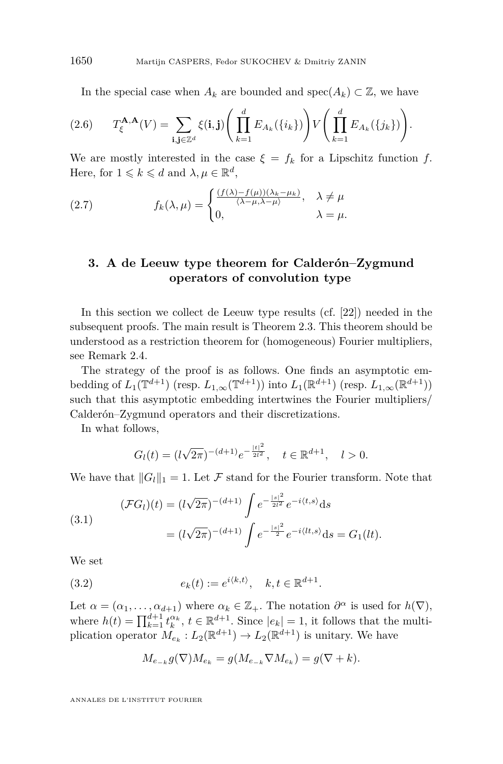In the special case when  $A_k$  are bounded and spec $(A_k) \subset \mathbb{Z}$ , we have

$$
(2.6) \tT_{\xi}^{\mathbf{A},\mathbf{A}}(V) = \sum_{\mathbf{i},\mathbf{j}\in\mathbb{Z}^d} \xi(\mathbf{i},\mathbf{j}) \Bigg(\prod_{k=1}^d E_{A_k}(\{i_k\})\Bigg) V\Bigg(\prod_{k=1}^d E_{A_k}(\{j_k\})\Bigg).
$$

We are mostly interested in the case  $\xi = f_k$  for a Lipschitz function f. Here, for  $1 \leq k \leq d$  and  $\lambda, \mu \in \mathbb{R}^d$ ,

<span id="page-8-0"></span>(2.7) 
$$
f_k(\lambda, \mu) = \begin{cases} \frac{(f(\lambda) - f(\mu))(\lambda_k - \mu_k)}{\langle \lambda - \mu, \lambda - \mu \rangle}, & \lambda \neq \mu \\ 0, & \lambda = \mu. \end{cases}
$$

#### <span id="page-8-1"></span>**3. A de Leeuw type theorem for Calderón–Zygmund operators of convolution type**

In this section we collect de Leeuw type results (cf. [\[22\]](#page-26-18)) needed in the subsequent proofs. The main result is Theorem [2.3.](#page-7-0) This theorem should be understood as a restriction theorem for (homogeneous) Fourier multipliers, see Remark [2.4.](#page-7-1)

The strategy of the proof is as follows. One finds an asymptotic embedding of  $L_1(\mathbb{T}^{d+1})$  (resp.  $L_{1,\infty}(\mathbb{T}^{d+1})$ ) into  $L_1(\mathbb{R}^{d+1})$  (resp.  $L_{1,\infty}(\mathbb{R}^{d+1})$ ) such that this asymptotic embedding intertwines the Fourier multipliers/ Calderón–Zygmund operators and their discretizations.

In what follows,

$$
G_l(t) = (l\sqrt{2\pi})^{-(d+1)}e^{-\frac{|t|^2}{2l^2}}, \quad t \in \mathbb{R}^{d+1}, \quad l > 0.
$$

We have that  $||G_l||_1 = 1$ . Let F stand for the Fourier transform. Note that

<span id="page-8-2"></span>(3.1)  
\n
$$
(\mathcal{F}G_l)(t) = (l\sqrt{2\pi})^{-(d+1)} \int e^{-\frac{|s|^2}{2l^2}} e^{-i\langle t, s \rangle} ds
$$
\n
$$
= (l\sqrt{2\pi})^{-(d+1)} \int e^{-\frac{|s|^2}{2}} e^{-i\langle lt, s \rangle} ds = G_1(lt).
$$

We set

(3.2) 
$$
e_k(t) := e^{i \langle k, t \rangle}, \quad k, t \in \mathbb{R}^{d+1}.
$$

Let  $\alpha = (\alpha_1, \ldots, \alpha_{d+1})$  where  $\alpha_k \in \mathbb{Z}_+$ . The notation  $\partial^{\alpha}$  is used for  $h(\nabla)$ , where  $h(t) = \prod_{k=1}^{d+1} t_k^{\alpha_k}, t \in \mathbb{R}^{d+1}$ . Since  $|e_k| = 1$ , it follows that the multiplication operator  $M_{e_k}: L_2(\mathbb{R}^{d+1}) \to L_2(\mathbb{R}^{d+1})$  is unitary. We have

<span id="page-8-3"></span>
$$
M_{e_{-k}}g(\nabla)M_{e_k} = g(M_{e_{-k}}\nabla M_{e_k}) = g(\nabla + k).
$$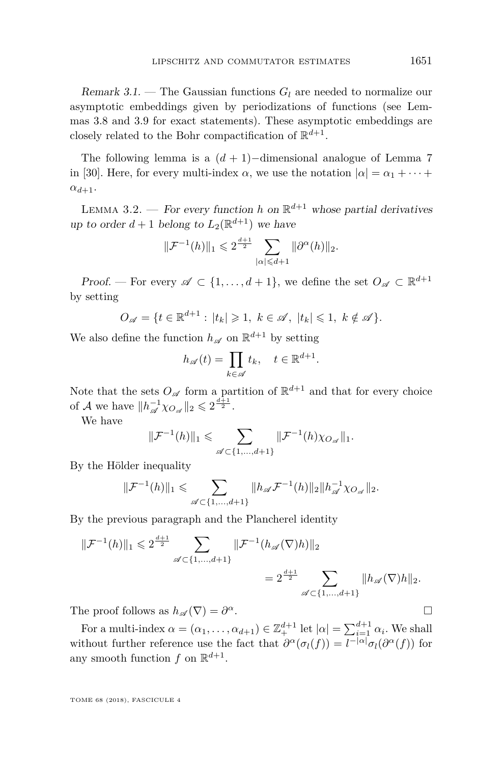Remark 3.1. – The Gaussian functions  $G_l$  are needed to normalize our asymptotic embeddings given by periodizations of functions (see Lemmas [3.8](#page-14-0) and [3.9](#page-15-0) for exact statements). These asymptotic embeddings are closely related to the Bohr compactification of  $\mathbb{R}^{d+1}$ .

The following lemma is a  $(d + 1)$ −dimensional analogue of Lemma 7 in [\[30\]](#page-26-21). Here, for every multi-index  $\alpha$ , we use the notation  $|\alpha| = \alpha_1 + \cdots$  $\alpha_{d+1}$ *.* 

<span id="page-9-0"></span>LEMMA 3.2. — For every function *h* on  $\mathbb{R}^{d+1}$  whose partial derivatives up to order  $d+1$  belong to  $L_2(\mathbb{R}^{d+1})$  we have

$$
\|\mathcal{F}^{-1}(h)\|_1 \leq 2^{\frac{d+1}{2}} \sum_{|\alpha| \leq d+1} \|\partial^{\alpha}(h)\|_2.
$$

*Proof.* — For every  $\mathscr{A} \subset \{1, ..., d+1\}$ , we define the set  $O_{\mathscr{A}} \subset \mathbb{R}^{d+1}$ by setting

$$
O_{\mathscr{A}} = \{ t \in \mathbb{R}^{d+1} : |t_k| \geq 1, k \in \mathscr{A}, |t_k| \leq 1, k \notin \mathscr{A} \}.
$$

We also define the function  $h_{\mathscr{A}}$  on  $\mathbb{R}^{d+1}$  by setting

$$
h_{\mathscr{A}}(t) = \prod_{k \in \mathscr{A}} t_k, \quad t \in \mathbb{R}^{d+1}.
$$

Note that the sets  $O_{\mathscr{A}}$  form a partition of  $\mathbb{R}^{d+1}$  and that for every choice of *A* we have  $||h_{\mathscr{A}}^{-1} \chi_{O_{\mathscr{A}}}||_2 \leq 2^{\frac{d+1}{2}}$ .

We have

$$
\|\mathcal{F}^{-1}(h)\|_{1} \leqslant \sum_{\mathscr{A}\subset\{1,\dots,d+1\}} \|\mathcal{F}^{-1}(h)\chi_{O_{\mathscr{A}}}\|_{1}.
$$

By the Hölder inequality

$$
\|\mathcal{F}^{-1}(h)\|_1 \leqslant \sum_{\mathscr{A}\subset\{1,\ldots,d+1\}} \|h_{\mathscr{A}}\mathcal{F}^{-1}(h)\|_2 \|h_{\mathscr{A}}^{-1}\chi_{O_{\mathscr{A}}}\|_2.
$$

By the previous paragraph and the Plancherel identity

$$
\|\mathcal{F}^{-1}(h)\|_{1} \leq 2^{\frac{d+1}{2}} \sum_{\mathscr{A} \subset \{1,\dots,d+1\}} \|\mathcal{F}^{-1}(h_{\mathscr{A}}(\nabla)h)\|_{2}
$$
  
=  $2^{\frac{d+1}{2}} \sum_{\mathscr{A} \subset \{1,\dots,d+1\}} \|h_{\mathscr{A}}(\nabla)h\|_{2}.$ 

The proof follows as  $h_{\mathscr{A}}(\nabla) = \partial^{\alpha}$ . *<sup>α</sup>*.

For a multi-index  $\alpha = (\alpha_1, \dots, \alpha_{d+1}) \in \mathbb{Z}_+^{d+1}$  let  $|\alpha| = \sum_{i=1}^{d+1} \alpha_i$ . We shall without further reference use the fact that  $\partial^{\alpha}(\sigma_l(f)) = l^{-|\alpha|}\sigma_l(\partial^{\alpha}(f))$  for any smooth function  $f$  on  $\mathbb{R}^{d+1}$ .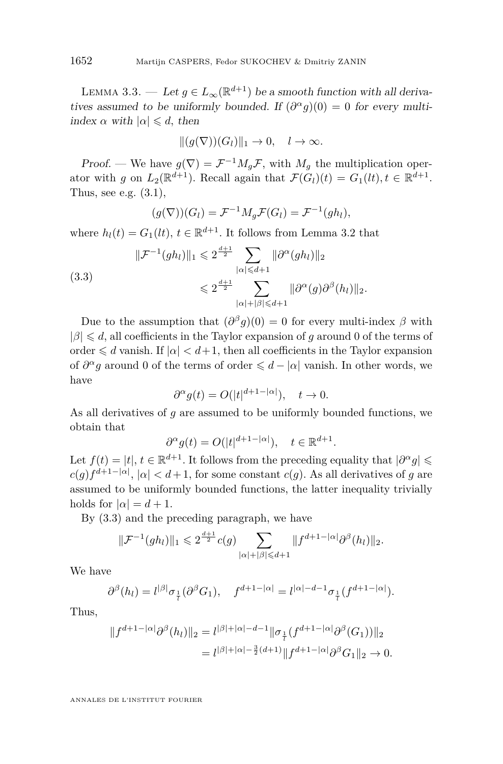<span id="page-10-1"></span>LEMMA 3.3. — Let  $g \in L_{\infty}(\mathbb{R}^{d+1})$  be a smooth function with all derivatives assumed to be uniformly bounded. If  $(\partial^{\alpha} g)(0) = 0$  for every multiindex  $\alpha$  with  $|\alpha| \le d$ , then

$$
||(g(\nabla))(G_l)||_1 \to 0, \quad l \to \infty.
$$

Proof. — We have  $g(\nabla) = \mathcal{F}^{-1} M_g \mathcal{F}$ , with  $M_g$  the multiplication operator with *g* on  $L_2(\mathbb{R}^{d+1})$ . Recall again that  $\mathcal{F}(G_l)(t) = G_1(lt), t \in \mathbb{R}^{d+1}$ . Thus, see e.g.  $(3.1)$ ,

<span id="page-10-0"></span>
$$
(g(\nabla))(G_l) = \mathcal{F}^{-1} M_g \mathcal{F}(G_l) = \mathcal{F}^{-1}(gh_l),
$$

where  $h_l(t) = G_1(lt)$ ,  $t \in \mathbb{R}^{d+1}$ . It follows from Lemma [3.2](#page-9-0) that

$$
\|\mathcal{F}^{-1}(gh_l)\|_1 \leq 2^{\frac{d+1}{2}} \sum_{|\alpha| \leq d+1} \|\partial^{\alpha}(gh_l)\|_2
$$
  

$$
\leq 2^{\frac{d+1}{2}} \sum_{|\alpha|+|\beta| \leq d+1} \|\partial^{\alpha}(g)\partial^{\beta}(h_l)\|_2.
$$

Due to the assumption that  $(\partial^{\beta} g)(0) = 0$  for every multi-index  $\beta$  with  $|\beta| \le d$ , all coefficients in the Taylor expansion of *g* around 0 of the terms of order  $\leq d$  vanish. If  $|\alpha| < d+1$ , then all coefficients in the Taylor expansion of  $\partial^{\alpha} g$  around 0 of the terms of order  $\leq d - |\alpha|$  vanish. In other words, we have

$$
\partial^{\alpha} g(t) = O(|t|^{d+1-|\alpha|}), \quad t \to 0.
$$

As all derivatives of *g* are assumed to be uniformly bounded functions, we obtain that

$$
\partial^{\alpha} g(t) = O(|t|^{d+1-|\alpha|}), \quad t \in \mathbb{R}^{d+1}.
$$

Let  $f(t) = |t|, t \in \mathbb{R}^{d+1}$ . It follows from the preceding equality that  $|\partial^{\alpha} g| \leq$  $c(g) f^{d+1-|\alpha|}, |\alpha| < d+1$ , for some constant  $c(g)$ . As all derivatives of *g* are assumed to be uniformly bounded functions, the latter inequality trivially holds for  $|\alpha| = d + 1$ .

By [\(3.3\)](#page-10-0) and the preceding paragraph, we have

$$
\|\mathcal{F}^{-1}(gh_l)\|_1 \leq 2^{\frac{d+1}{2}}c(g)\sum_{|\alpha|+|\beta|\leq d+1} \|f^{d+1-|\alpha|}\partial^{\beta}(h_l)\|_2.
$$

We have

$$
\partial^\beta(h_l)=l^{|\beta|}\sigma_{\frac{1}{l}}(\partial^\beta G_1),\quad f^{d+1-|\alpha|}=l^{|\alpha|-d-1}\sigma_{\frac{1}{l}}(f^{d+1-|\alpha|}).
$$

Thus,

$$
||f^{d+1-|\alpha|}\partial^{\beta}(h_l)||_2 = l^{|\beta|+|\alpha|-d-1} ||\sigma_{\frac{1}{l}}(f^{d+1-|\alpha|}\partial^{\beta}(G_1))||_2
$$
  
=  $l^{|\beta|+|\alpha|-\frac{3}{2}(d+1)} ||f^{d+1-|\alpha|}\partial^{\beta}G_1||_2 \to 0.$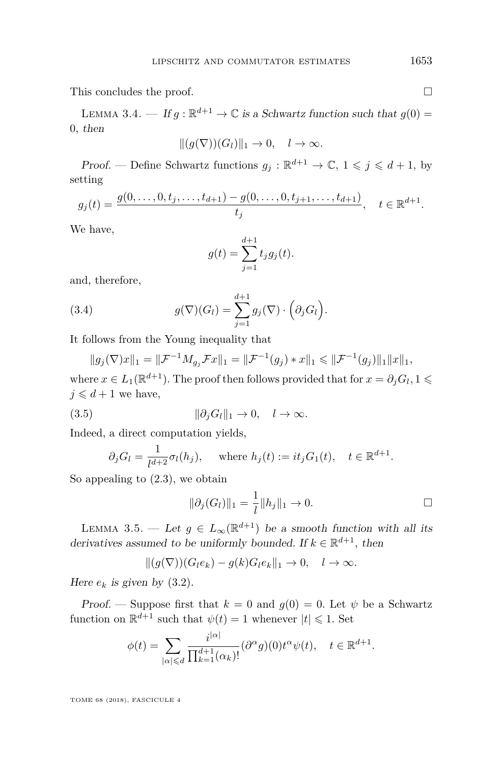This concludes the proof.

<span id="page-11-0"></span>LEMMA 3.4. — If  $g : \mathbb{R}^{d+1} \to \mathbb{C}$  is a Schwartz function such that  $g(0) =$ 0*,* then

$$
||(g(\nabla))(G_l)||_1 \to 0, \quad l \to \infty.
$$

Proof. — Define Schwartz functions  $g_j : \mathbb{R}^{d+1} \to \mathbb{C}, 1 \leq j \leq d+1$ , by setting

$$
g_j(t) = \frac{g(0, \dots, 0, t_j, \dots, t_{d+1}) - g(0, \dots, 0, t_{j+1}, \dots, t_{d+1})}{t_j}, \quad t \in \mathbb{R}^{d+1}.
$$

We have,

$$
g(t) = \sum_{j=1}^{d+1} t_j g_j(t).
$$

and, therefore,

(3.4) 
$$
g(\nabla)(G_l) = \sum_{j=1}^{d+1} g_j(\nabla) \cdot \left(\partial_j G_l\right).
$$

It follows from the Young inequality that

$$
||g_j(\nabla)x||_1 = ||\mathcal{F}^{-1}M_{g_j}\mathcal{F}x||_1 = ||\mathcal{F}^{-1}(g_j) * x||_1 \le ||\mathcal{F}^{-1}(g_j)||_1||x||_1,
$$

where  $x \in L_1(\mathbb{R}^{d+1})$ . The proof then follows provided that for  $x = \partial_j G_l$ ,  $1 \leq$  $j \leq d+1$  we have,

$$
(3.5) \t\t\t ||\partial_j G_l||_1 \to 0, \quad l \to \infty.
$$

Indeed, a direct computation yields,

$$
\partial_j G_l = \frac{1}{l^{d+2}} \sigma_l(h_j),
$$
 where  $h_j(t) := it_j G_1(t), \quad t \in \mathbb{R}^{d+1}.$ 

So appealing to  $(2.3)$ , we obtain

$$
\|\partial_j(G_l)\|_1 = \frac{1}{l} \|h_j\|_1 \to 0.
$$

<span id="page-11-1"></span>LEMMA 3.5. — Let  $g \in L_{\infty}(\mathbb{R}^{d+1})$  be a smooth function with all its derivatives assumed to be uniformly bounded. If  $k \in \mathbb{R}^{d+1}$ , then

$$
||(g(\nabla))(G_le_k)-g(k)G_le_k||_1\to 0, \quad l\to\infty.
$$

Here  $e_k$  is given by  $(3.2)$ .

Proof. — Suppose first that  $k = 0$  and  $g(0) = 0$ . Let  $\psi$  be a Schwartz function on  $\mathbb{R}^{d+1}$  such that  $\psi(t) = 1$  whenever  $|t| \leq 1$ . Set

$$
\phi(t) = \sum_{|\alpha| \le d} \frac{i^{|\alpha|}}{\prod_{k=1}^{d+1} (\alpha_k)!} (\partial^{\alpha} g)(0) t^{\alpha} \psi(t), \quad t \in \mathbb{R}^{d+1}.
$$

|*α*|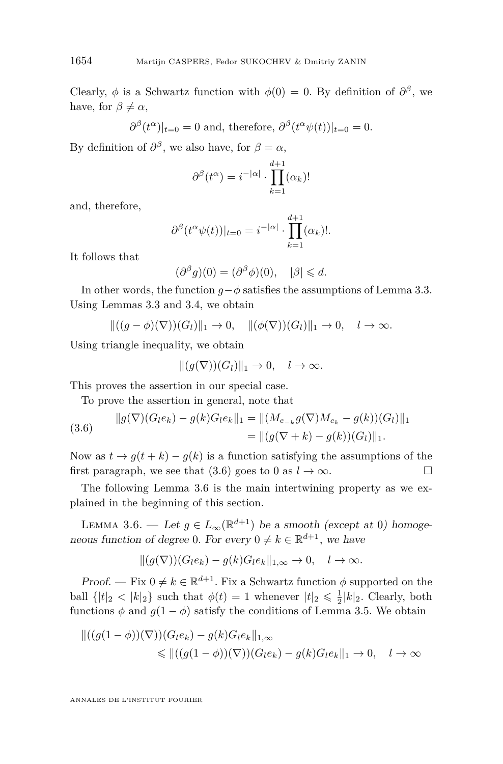Clearly,  $\phi$  is a Schwartz function with  $\phi(0) = 0$ . By definition of  $\partial^{\beta}$ , we have, for  $\beta \neq \alpha$ ,

$$
\partial^{\beta}(t^{\alpha})|_{t=0} = 0
$$
 and, therefore,  $\partial^{\beta}(t^{\alpha}\psi(t))|_{t=0} = 0$ .

By definition of  $\partial^{\beta}$ , we also have, for  $\beta = \alpha$ ,

$$
\partial^{\beta}(t^{\alpha}) = i^{-|\alpha|} \cdot \prod_{k=1}^{d+1} (\alpha_k)!
$$

and, therefore,

$$
\partial^{\beta} (t^{\alpha} \psi(t))|_{t=0} = i^{-|\alpha|} \cdot \prod_{k=1}^{d+1} (\alpha_k)!.
$$

It follows that

$$
(\partial^{\beta} g)(0) = (\partial^{\beta} \phi)(0), \quad |\beta| \leq d.
$$

In other words, the function  $q-\phi$  satisfies the assumptions of Lemma [3.3.](#page-10-1) Using Lemmas [3.3](#page-10-1) and [3.4,](#page-11-0) we obtain

$$
\|((g-\phi)(\nabla))(G_l)\|_1\to 0, \quad \|(\phi(\nabla))(G_l)\|_1\to 0, \quad l\to\infty.
$$

Using triangle inequality, we obtain

$$
||(g(\nabla))(G_l)||_1 \to 0, \quad l \to \infty.
$$

This proves the assertion in our special case.

To prove the assertion in general, note that

<span id="page-12-0"></span>(3.6) 
$$
\|g(\nabla)(G_l e_k) - g(k)G_l e_k\|_1 = \|(M_{e_{-k}}g(\nabla)M_{e_k} - g(k))(G_l)\|_1
$$

$$
= \|(g(\nabla + k) - g(k))(G_l)\|_1.
$$

Now as  $t \to g(t+k) - g(k)$  is a function satisfying the assumptions of the first paragraph, we see that [\(3.6\)](#page-12-0) goes to 0 as  $l \to \infty$ .

The following Lemma [3.6](#page-12-1) is the main intertwining property as we explained in the beginning of this section.

<span id="page-12-1"></span>LEMMA 3.6. — Let  $g \in L_{\infty}(\mathbb{R}^{d+1})$  be a smooth (except at 0) homogeneous function of degree 0. For every  $0 \neq k \in \mathbb{R}^{d+1}$ , we have

$$
||(g(\nabla))(G_le_k)-g(k)G_le_k||_{1,\infty}\to 0, \quad l\to\infty.
$$

Proof. — Fix  $0 \neq k \in \mathbb{R}^{d+1}$ . Fix a Schwartz function  $\phi$  supported on the ball  $\{|t|_2 < |k|_2\}$  such that  $\phi(t) = 1$  whenever  $|t|_2 \le \frac{1}{2}|k|_2$ . Clearly, both functions  $\phi$  and  $g(1 - \phi)$  satisfy the conditions of Lemma [3.5.](#page-11-1) We obtain

$$
\begin{aligned} ||((g(1-\phi))(\nabla))(G_le_k) - g(k)G_le_k||_{1,\infty} \\ &\leq ||((g(1-\phi))(\nabla))(G_le_k) - g(k)G_le_k||_1 \to 0, \quad l \to \infty \end{aligned}
$$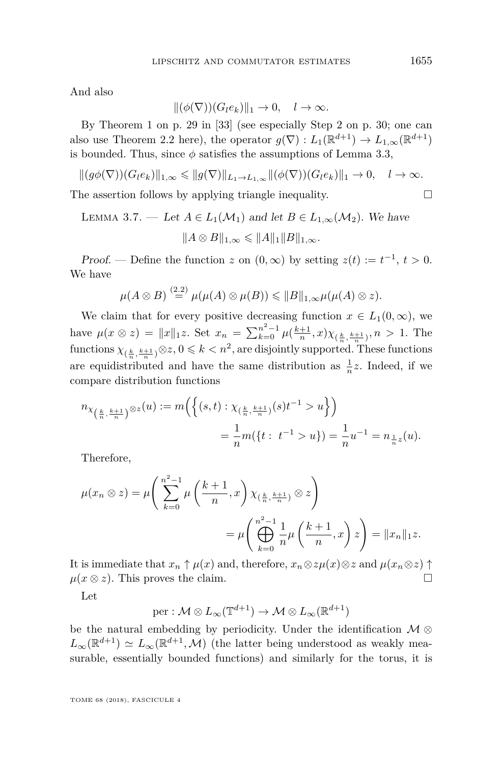And also

$$
\|(\phi(\nabla))(G_l e_k)\|_1 \to 0, \quad l \to \infty.
$$

By Theorem 1 on p. 29 in [\[33\]](#page-27-4) (see especially Step 2 on p. 30; one can also use Theorem [2.2](#page-6-0) here), the operator  $g(\nabla) : L_1(\mathbb{R}^{d+1}) \to L_{1,\infty}(\mathbb{R}^{d+1})$ is bounded. Thus, since  $\phi$  satisfies the assumptions of Lemma [3.3,](#page-10-1)

$$
||(g\phi(\nabla))(G_le_k)||_{1,\infty}\leqslant ||g(\nabla)||_{L_1\to L_{1,\infty}}||( \phi(\nabla))(G_le_k)||_1\to 0,\quad l\to\infty.
$$

The assertion follows by applying triangle inequality.  $\Box$ 

<span id="page-13-0"></span>LEMMA 3.7. — Let 
$$
A \in L_1(\mathcal{M}_1)
$$
 and let  $B \in L_{1,\infty}(\mathcal{M}_2)$ . We have  

$$
||A \otimes B||_{1,\infty} \le ||A||_1 ||B||_{1,\infty}.
$$

Proof. — Define the function *z* on  $(0, \infty)$  by setting  $z(t) := t^{-1}, t > 0$ . We have

$$
\mu(A\otimes B)\stackrel{(2.2)}{=}\mu(\mu(A)\otimes\mu(B))\leqslant||B||_{1,\infty}\mu(\mu(A)\otimes z).
$$

We claim that for every positive decreasing function  $x \in L_1(0, \infty)$ , we have  $\mu(x \otimes z) = ||x||_1 z$ . Set  $x_n = \sum_{k=0}^{n^2-1} \mu(\frac{k+1}{n}, x) \chi_{(\frac{k}{n}, \frac{k+1}{n})}, n > 1$ . The  $f$ unctions  $\chi_{(\frac{k}{n}, \frac{k+1}{n})} \otimes z$ ,  $0 \leq k < n^2$ , are disjointly supported. These functions are equidistributed and have the same distribution as  $\frac{1}{n}z$ . Indeed, if we compare distribution functions

$$
\begin{split} n_{\chi_{\left(\frac{k}{n},\frac{k+1}{n}\right)}\otimes z}(u):=m\Big(\Big\{(s,t):\chi_{(\frac{k}{n},\frac{k+1}{n})}(s)t^{-1}>u\Big\}\Big)\\ =\frac{1}{n}m(\{t:\ t^{-1}>u\})=\frac{1}{n}u^{-1}=n_{\frac{1}{n}z}(u). \end{split}
$$

Therefore,

$$
\mu(x_n \otimes z) = \mu\left(\sum_{k=0}^{n^2-1} \mu\left(\frac{k+1}{n}, x\right) \chi_{\left(\frac{k}{n}, \frac{k+1}{n}\right)} \otimes z\right)
$$

$$
= \mu\left(\bigoplus_{k=0}^{n^2-1} \frac{1}{n} \mu\left(\frac{k+1}{n}, x\right) z\right) = \|x_n\|_1 z.
$$

It is immediate that  $x_n \uparrow \mu(x)$  and, therefore,  $x_n \otimes z\mu(x) \otimes z$  and  $\mu(x_n \otimes z) \uparrow$  $\mu(x \otimes z)$ . This proves the claim.

Let

$$
\mathrm{per}:\mathcal{M}\otimes L_\infty(\mathbb{T}^{d+1})\to \mathcal{M}\otimes L_\infty(\mathbb{R}^{d+1})
$$

be the natural embedding by periodicity. Under the identification  $\mathcal{M} \otimes$  $L_{\infty}(\mathbb{R}^{d+1}) \simeq L_{\infty}(\mathbb{R}^{d+1}, \mathcal{M})$  (the latter being understood as weakly measurable, essentially bounded functions) and similarly for the torus, it is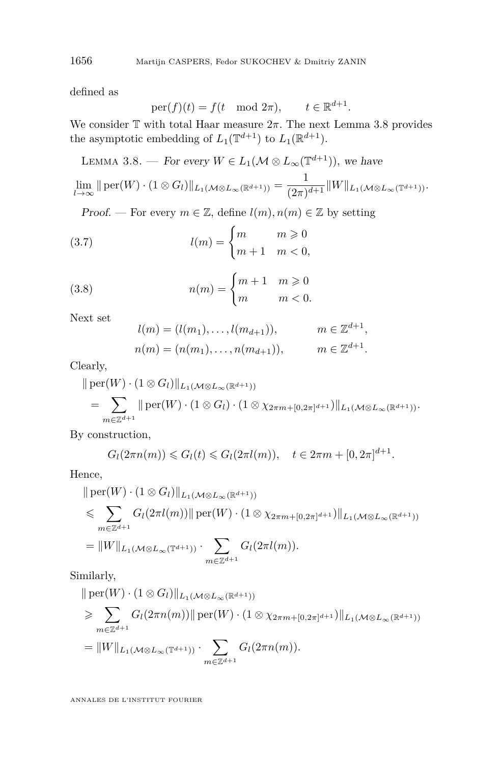defined as

$$
per(f)(t) = f(t \mod 2\pi), \qquad t \in \mathbb{R}^{d+1}.
$$

We consider  $\mathbb T$  with total Haar measure  $2\pi$ . The next Lemma [3.8](#page-14-0) provides the asymptotic embedding of  $L_1(\mathbb{T}^{d+1})$  to  $L_1(\mathbb{R}^{d+1})$ .

<span id="page-14-0"></span>LEMMA 3.8. — For every  $W \in L_1(\mathcal{M} \otimes L_\infty(\mathbb{T}^{d+1}))$ , we have

$$
\lim_{l\to\infty} \|\operatorname{per}(W)\cdot(1\otimes G_l)\|_{L_1(\mathcal{M}\otimes L_\infty(\mathbb{R}^{d+1}))}=\frac{1}{(2\pi)^{d+1}}\|W\|_{L_1(\mathcal{M}\otimes L_\infty(\mathbb{T}^{d+1}))}.
$$

Proof. — For every  $m \in \mathbb{Z}$ , define  $l(m), n(m) \in \mathbb{Z}$  by setting

(3.7) 
$$
l(m) = \begin{cases} m & m \geq 0 \\ m+1 & m < 0, \end{cases}
$$

(3.8) 
$$
n(m) = \begin{cases} m+1 & m \geq 0 \\ m & m < 0. \end{cases}
$$

Next set

$$
l(m) = (l(m_1), \dots, l(m_{d+1})), \qquad m \in \mathbb{Z}^{d+1},
$$
  

$$
n(m) = (n(m_1), \dots, n(m_{d+1})), \qquad m \in \mathbb{Z}^{d+1}.
$$

Clearly,

$$
\|\operatorname{per}(W)\cdot(1\otimes G_l)\|_{L_1(\mathcal{M}\otimes L_\infty(\mathbb{R}^{d+1}))}
$$
  
= 
$$
\sum_{m\in\mathbb{Z}^{d+1}}\|\operatorname{per}(W)\cdot(1\otimes G_l)\cdot(1\otimes \chi_{2\pi m+[0,2\pi]^{d+1}})\|_{L_1(\mathcal{M}\otimes L_\infty(\mathbb{R}^{d+1}))}.
$$

By construction,

$$
G_l(2\pi n(m)) \leq G_l(t) \leq G_l(2\pi l(m)), \quad t \in 2\pi m + [0, 2\pi]^{d+1}.
$$

Hence,

$$
\| \operatorname{per}(W) \cdot (1 \otimes G_l) \|_{L_1(\mathcal{M} \otimes L_\infty(\mathbb{R}^{d+1}))}
$$
  
\$\leqslant \sum\_{m \in \mathbb{Z}^{d+1}} G\_l(2\pi l(m)) \| \operatorname{per}(W) \cdot (1 \otimes \chi\_{2\pi m + [0,2\pi]^{d+1}}) \|\_{L\_1(\mathcal{M} \otimes L\_\infty(\mathbb{R}^{d+1}))}  
= 
$$
\|W\|_{L_1(\mathcal{M} \otimes L_\infty(\mathbb{T}^{d+1}))} \cdot \sum_{m \in \mathbb{Z}^{d+1}} G_l(2\pi l(m)).
$$

Similarly,

$$
\| \operatorname{per}(W) \cdot (1 \otimes G_l) \|_{L_1(\mathcal{M} \otimes L_\infty(\mathbb{R}^{d+1}))}
$$
  
\n
$$
\geq \sum_{m \in \mathbb{Z}^{d+1}} G_l(2\pi n(m)) \| \operatorname{per}(W) \cdot (1 \otimes \chi_{2\pi m + [0, 2\pi]^{d+1}}) \|_{L_1(\mathcal{M} \otimes L_\infty(\mathbb{R}^{d+1}))}
$$
  
\n
$$
= \|W\|_{L_1(\mathcal{M} \otimes L_\infty(\mathbb{T}^{d+1}))} \cdot \sum_{m \in \mathbb{Z}^{d+1}} G_l(2\pi n(m)).
$$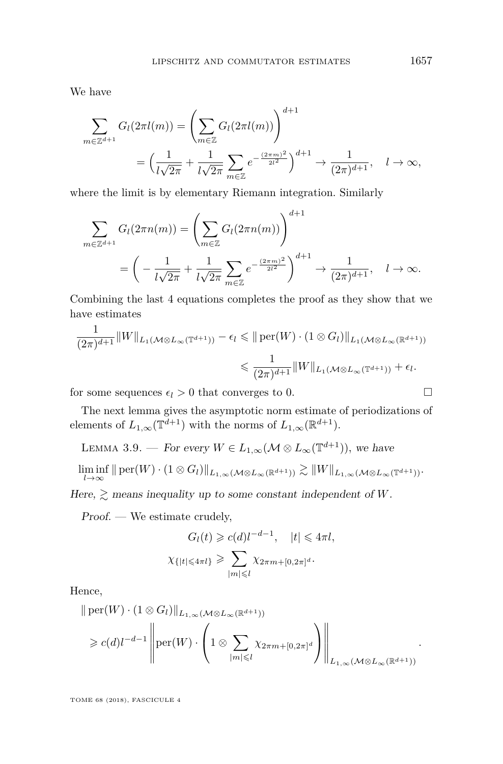We have

$$
\sum_{m \in \mathbb{Z}^{d+1}} G_l(2\pi l(m)) = \left(\sum_{m \in \mathbb{Z}} G_l(2\pi l(m))\right)^{d+1}
$$
  
=  $\left(\frac{1}{l\sqrt{2\pi}} + \frac{1}{l\sqrt{2\pi}} \sum_{m \in \mathbb{Z}} e^{-\frac{(2\pi m)^2}{2l^2}}\right)^{d+1} \to \frac{1}{(2\pi)^{d+1}}, \quad l \to \infty,$ 

where the limit is by elementary Riemann integration. Similarly

$$
\sum_{m \in \mathbb{Z}^{d+1}} G_l(2\pi n(m)) = \left(\sum_{m \in \mathbb{Z}} G_l(2\pi n(m))\right)^{d+1} \n= \left(-\frac{1}{l\sqrt{2\pi}} + \frac{1}{l\sqrt{2\pi}} \sum_{m \in \mathbb{Z}} e^{-\frac{(2\pi m)^2}{2l^2}}\right)^{d+1} \to \frac{1}{(2\pi)^{d+1}}, \quad l \to \infty.
$$

Combining the last 4 equations completes the proof as they show that we have estimates

$$
\frac{1}{(2\pi)^{d+1}} \|W\|_{L_1(\mathcal{M}\otimes L_\infty(\mathbb{T}^{d+1}))} - \epsilon_l \leq \| \operatorname{per}(W) \cdot (1 \otimes G_l) \|_{L_1(\mathcal{M}\otimes L_\infty(\mathbb{R}^{d+1}))}
$$
  

$$
\leq \frac{1}{(2\pi)^{d+1}} \|W\|_{L_1(\mathcal{M}\otimes L_\infty(\mathbb{T}^{d+1}))} + \epsilon_l.
$$

for some sequences  $\epsilon_l > 0$  that converges to 0.

The next lemma gives the asymptotic norm estimate of periodizations of elements of  $L_{1,\infty}(\mathbb{T}^{d+1})$  with the norms of  $L_{1,\infty}(\mathbb{R}^{d+1})$ .

<span id="page-15-0"></span>LEMMA 3.9. — For every  $W \in L_{1,\infty}(\mathcal{M} \otimes L_{\infty}(\mathbb{T}^{d+1}))$ , we have

$$
\liminf_{l\to\infty} \|\operatorname{per}(W)\cdot(1\otimes G_l)\|_{L_{1,\infty}(\mathcal{M}\otimes L_{\infty}(\mathbb{R}^{d+1}))}\gtrsim \|W\|_{L_{1,\infty}(\mathcal{M}\otimes L_{\infty}(\mathbb{T}^{d+1}))}.
$$

Here,  $\geq$  means inequality up to some constant independent of *W*.

Proof. — We estimate crudely,

$$
G_l(t) \geqslant c(d)l^{-d-1}, \quad |t| \leqslant 4\pi l,
$$
  

$$
\chi_{\{|t| \leqslant 4\pi l\}} \geqslant \sum_{|m| \leqslant l} \chi_{2\pi m + [0, 2\pi]^d}.
$$

Hence,

$$
\|\operatorname{per}(W) \cdot (1 \otimes G_l)\|_{L_{1,\infty}(\mathcal{M} \otimes L_{\infty}(\mathbb{R}^{d+1}))}
$$
  
\$\geq c(d)l^{-d-1}\left\|\operatorname{per}(W) \cdot \left(1 \otimes \sum\_{|m| \leq l} \chi\_{2\pi m + [0,2\pi]^d}\right)\right\|\_{L\_{1,\infty}(\mathcal{M} \otimes L\_{\infty}(\mathbb{R}^{d+1}))}.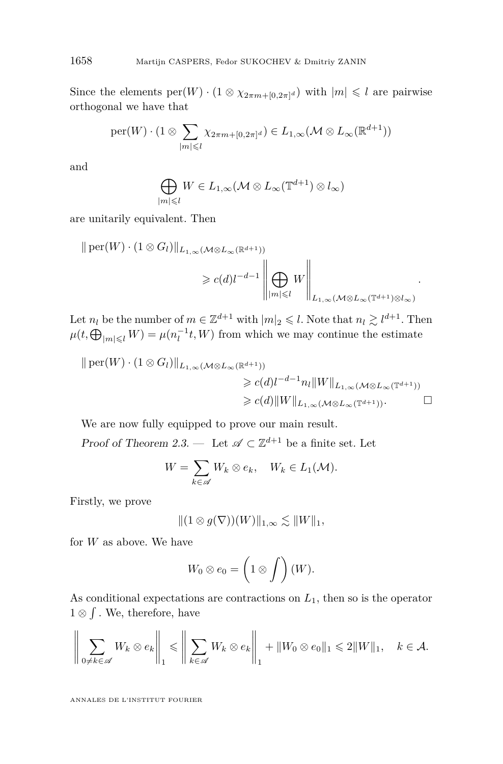Since the elements  $\text{per}(W) \cdot (1 \otimes \chi_{2\pi m + [0,2\pi]^d})$  with  $|m| \leq l$  are pairwise orthogonal we have that

$$
\mathrm{per}(W) \cdot (1 \otimes \sum_{|m| \leqslant l} \chi_{2\pi m + [0,2\pi]^d}) \in L_{1,\infty}(\mathcal{M} \otimes L_{\infty}(\mathbb{R}^{d+1}))
$$

and

$$
\bigoplus_{|m|\leqslant l}W\in L_{1,\infty}(\mathcal{M}\otimes L_{\infty}(\mathbb{T}^{d+1})\otimes l_{\infty})
$$

are unitarily equivalent. Then

$$
\| \operatorname{per}(W) \cdot (1 \otimes G_l) \|_{L_{1,\infty}(\mathcal{M} \otimes L_{\infty}(\mathbb{R}^{d+1}))}
$$
  
\n
$$
\geq c(d) l^{-d-1} \left\| \bigoplus_{|m| \leq l} W \right\|_{L_{1,\infty}(\mathcal{M} \otimes L_{\infty}(\mathbb{T}^{d+1}) \otimes L_{\infty})}.
$$

Let  $n_l$  be the number of  $m \in \mathbb{Z}^{d+1}$  with  $|m|_2 \leqslant l$ . Note that  $n_l \gtrsim l^{d+1}$ . Then  $\mu(t, \bigoplus_{|m| \leq l} W) = \mu(n_l^{-1}t, W)$  from which we may continue the estimate

$$
\| \operatorname{per}(W) \cdot (1 \otimes G_l) \|_{L_{1,\infty}(\mathcal{M} \otimes L_{\infty}(\mathbb{R}^{d+1}))}
$$
  
\n
$$
\geq c(d) l^{-d-1} n_l \|W\|_{L_{1,\infty}(\mathcal{M} \otimes L_{\infty}(\mathbb{T}^{d+1}))}
$$
  
\n
$$
\geq c(d) \|W\|_{L_{1,\infty}(\mathcal{M} \otimes L_{\infty}(\mathbb{T}^{d+1}))}.
$$

We are now fully equipped to prove our main result.

Proof of Theorem [2.3.](#page-7-0) — Let  $\mathscr{A} \subset \mathbb{Z}^{d+1}$  be a finite set. Let

$$
W = \sum_{k \in \mathscr{A}} W_k \otimes e_k, \quad W_k \in L_1(\mathcal{M}).
$$

Firstly, we prove

$$
|| (1 \otimes g(\nabla))(W) ||_{1,\infty} \lesssim ||W||_1,
$$

for *W* as above. We have

$$
W_0 \otimes e_0 = \left(1 \otimes \int\right)(W).
$$

As conditional expectations are contractions on *L*1*,* then so is the operator 1 ⊗  $\int$ . We, therefore, have

$$
\left\|\sum_{0\neq k\in\mathscr{A}}W_k\otimes e_k\right\|_1\leqslant\left\|\sum_{k\in\mathscr{A}}W_k\otimes e_k\right\|_1+\|W_0\otimes e_0\|_1\leqslant 2\|W\|_1,\quad k\in\mathcal{A}.
$$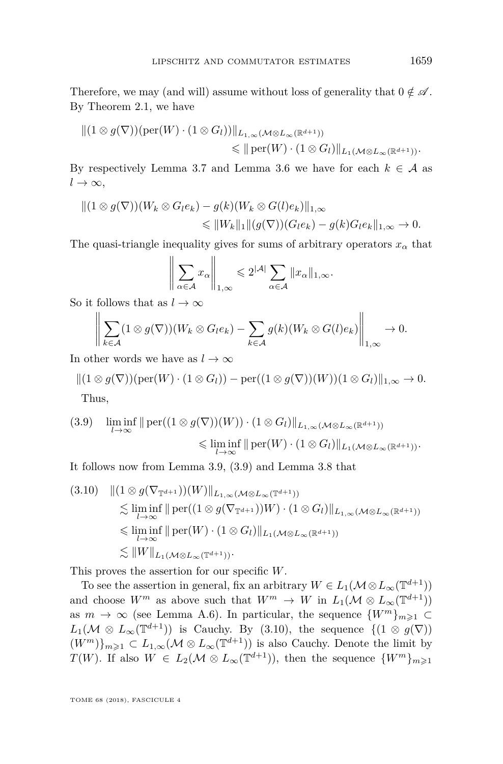Therefore, we may (and will) assume without loss of generality that  $0 \notin \mathscr{A}$ . By Theorem [2.1,](#page-6-1) we have

$$
||(1 \otimes g(\nabla))(\text{per}(W) \cdot (1 \otimes G_l))||_{L_{1,\infty}(\mathcal{M} \otimes L_{\infty}(\mathbb{R}^{d+1}))}\n\n\leq ||\text{per}(W) \cdot (1 \otimes G_l)||_{L_1(\mathcal{M} \otimes L_{\infty}(\mathbb{R}^{d+1}))}.
$$

By respectively Lemma [3.7](#page-13-0) and Lemma [3.6](#page-12-1) we have for each  $k \in \mathcal{A}$  as  $l \to \infty$ ,

$$
||(1 \otimes g(\nabla))(W_k \otimes G_l e_k) - g(k)(W_k \otimes G(l)e_k)||_{1,\infty}
$$
  
\$\leq\$  $||W_k||_1 ||(g(\nabla))(G_l e_k) - g(k)G_l e_k||_{1,\infty} \to 0.$ 

The quasi-triangle inequality gives for sums of arbitrary operators  $x_\alpha$  that

$$
\left\| \sum_{\alpha \in \mathcal{A}} x_{\alpha} \right\|_{1,\infty} \leqslant 2^{|\mathcal{A}|} \sum_{\alpha \in \mathcal{A}} \|x_{\alpha}\|_{1,\infty}.
$$

So it follows that as  $l \to \infty$ 

$$
\left\|\sum_{k\in\mathcal{A}}(1\otimes g(\nabla))(W_k\otimes G_l e_k)-\sum_{k\in\mathcal{A}}g(k)(W_k\otimes G(l)e_k)\right\|_{1,\infty}\to 0.
$$

In other words we have as  $l \to \infty$ 

$$
||(1 \otimes g(\nabla))(\text{per}(W) \cdot (1 \otimes G_l)) - \text{per}((1 \otimes g(\nabla))(W))(1 \otimes G_l)||_{1,\infty} \to 0.
$$
  
Thus,

<span id="page-17-0"></span>
$$
(3.9) \quad \liminf_{l \to \infty} \|\operatorname{per}((1 \otimes g(\nabla))(W)) \cdot (1 \otimes G_l)\|_{L_{1,\infty}(\mathcal{M} \otimes L_{\infty}(\mathbb{R}^{d+1}))}
$$

$$
\leq \liminf_{l \to \infty} \|\operatorname{per}(W) \cdot (1 \otimes G_l)\|_{L_1(\mathcal{M} \otimes L_{\infty}(\mathbb{R}^{d+1}))}.
$$

It follows now from Lemma [3.9,](#page-15-0) [\(3.9\)](#page-17-0) and Lemma [3.8](#page-14-0) that

<span id="page-17-1"></span>
$$
(3.10) \quad ||(1 \otimes g(\nabla_{\mathbb{T}^{d+1}}))(W)||_{L_{1,\infty}(\mathcal{M} \otimes L_{\infty}(\mathbb{T}^{d+1}))}
$$
  
\n
$$
\lesssim \liminf_{l \to \infty} ||\operatorname{per}((1 \otimes g(\nabla_{\mathbb{T}^{d+1}}))W) \cdot (1 \otimes G_l)||_{L_{1,\infty}(\mathcal{M} \otimes L_{\infty}(\mathbb{R}^{d+1}))}
$$
  
\n
$$
\leq \liminf_{l \to \infty} ||\operatorname{per}(W) \cdot (1 \otimes G_l)||_{L_1(\mathcal{M} \otimes L_{\infty}(\mathbb{R}^{d+1}))}
$$
  
\n
$$
\lesssim ||W||_{L_1(\mathcal{M} \otimes L_{\infty}(\mathbb{T}^{d+1}))}.
$$

This proves the assertion for our specific *W*.

To see the assertion in general, fix an arbitrary  $W \in L_1(\mathcal{M} \otimes L_\infty(\mathbb{T}^{d+1}))$ and choose  $W^m$  as above such that  $W^m \to W$  in  $L_1(\mathcal{M} \otimes L_\infty(\mathbb{T}^{d+1}))$ as  $m \to \infty$  (see Lemma [A.6\)](#page-24-0). In particular, the sequence  $\{W^m\}_{m\geq 1} \subset$  $L_1(\mathcal{M} \otimes L_\infty(\mathbb{T}^{d+1}))$  is Cauchy. By [\(3.10\)](#page-17-1), the sequence  $\{(1 \otimes g(\nabla))\}$  $(W^m)\}_{m\geq 1} \subset L_{1,\infty}(\mathcal{M} \otimes L_\infty(\mathbb{T}^{d+1}))$  is also Cauchy. Denote the limit by *T*(*W*). If also  $W \in L_2(\mathcal{M} \otimes L_\infty(\mathbb{T}^{d+1}))$ , then the sequence  $\{W^m\}_{m \geq 1}$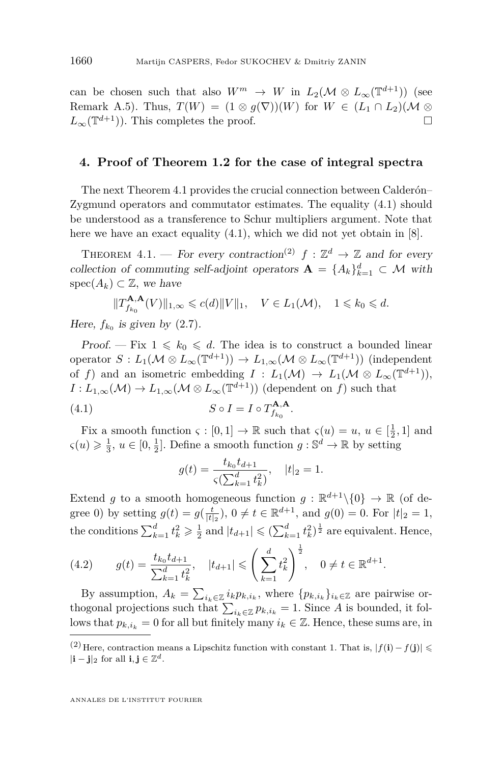can be chosen such that also  $W^m \to W$  in  $L_2(\mathcal{M} \otimes L_\infty(\mathbb{T}^{d+1}))$  (see Remark [A.5\)](#page-24-1). Thus,  $T(W) = (1 \otimes g(\nabla))(W)$  for  $W \in (L_1 \cap L_2)(\mathcal{M} \otimes$  $L_{\infty}(\mathbb{T}^{d+1})$ ). This completes the proof.  $\Box$ 

#### <span id="page-18-0"></span>**4. Proof of Theorem [1.2](#page-4-0) for the case of integral spectra**

The next Theorem [4.1](#page-18-1) provides the crucial connection between Calderón– Zygmund operators and commutator estimates. The equality [\(4.1\)](#page-18-2) should be understood as a transference to Schur multipliers argument. Note that here we have an exact equality [\(4.1\)](#page-18-2), which we did not yet obtain in [\[8\]](#page-25-5).

<span id="page-18-1"></span>THEOREM 4.1. — For every contraction<sup>(2)</sup>  $f : \mathbb{Z}^d \to \mathbb{Z}$  and for every collection of commuting self-adjoint operators  $\mathbf{A} = \{A_k\}_{k=1}^d \subset \mathcal{M}$  with spec( $A_k$ ) ⊂  $\mathbb{Z}$ *, we have* 

$$
||T_{f_{k_0}}^{\mathbf{A},\mathbf{A}}(V)||_{1,\infty} \leqslant c(d)||V||_1, \quad V \in L_1(\mathcal{M}), \quad 1 \leqslant k_0 \leqslant d.
$$

Here,  $f_{k_0}$  is given by  $(2.7)$ .

Proof. – Fix  $1 \leq k_0 \leq d$ . The idea is to construct a bounded linear operator  $S: L_1(\mathcal{M} \otimes L_\infty(\mathbb{T}^{d+1})) \to L_{1,\infty}(\mathcal{M} \otimes L_\infty(\mathbb{T}^{d+1}))$  (independent of *f*) and an isometric embedding  $I: L_1(\mathcal{M}) \to L_1(\mathcal{M} \otimes L_\infty(\mathbb{T}^{d+1}))$ ,  $I: L_{1,\infty}(\mathcal{M}) \to L_{1,\infty}(\mathcal{M} \otimes L_{\infty}(\mathbb{T}^{d+1}))$  (dependent on *f*) such that

(4.1) 
$$
S \circ I = I \circ T_{f_{k_0}}^{\mathbf{A}, \mathbf{A}}.
$$

Fix a smooth function  $\varsigma : [0,1] \to \mathbb{R}$  such that  $\varsigma(u) = u, u \in [\frac{1}{2},1]$  and  $\zeta(u) \geq \frac{1}{3}, u \in [0, \frac{1}{2}].$  Define a smooth function  $g : \mathbb{S}^d \to \mathbb{R}$  by setting

<span id="page-18-2"></span>
$$
g(t) = \frac{t_{k_0}t_{d+1}}{\varsigma(\sum_{k=1}^d t_k^2)}, \quad |t|_2 = 1.
$$

Extend *g* to a smooth homogeneous function  $g : \mathbb{R}^{d+1} \setminus \{0\} \to \mathbb{R}$  (of degree 0) by setting  $g(t) = g(\frac{t}{|t|_2})$ ,  $0 \neq t \in \mathbb{R}^{d+1}$ , and  $g(0) = 0$ . For  $|t|_2 = 1$ , the conditions  $\sum_{k=1}^{d} t_k^2 \geq \frac{1}{2}$  and  $|t_{d+1}| \leq (\sum_{k=1}^{d} t_k^2)^{\frac{1}{2}}$  are equivalent. Hence,

<span id="page-18-3"></span>
$$
(4.2) \t g(t) = \frac{t_{k_0}t_{d+1}}{\sum_{k=1}^d t_k^2}, \t |t_{d+1}| \leqslant \left(\sum_{k=1}^d t_k^2\right)^{\frac{1}{2}}, \t 0 \neq t \in \mathbb{R}^{d+1}.
$$

By assumption,  $A_k = \sum_{i_k \in \mathbb{Z}} i_k p_{k,i_k}$ , where  $\{p_{k,i_k}\}_{i_k \in \mathbb{Z}}$  are pairwise orthogonal projections such that  $\sum_{i_k \in \mathbb{Z}} p_{k,i_k} = 1$ . Since *A* is bounded, it follows that  $p_{k,i_k} = 0$  for all but finitely many  $i_k \in \mathbb{Z}$ . Hence, these sums are, in

<sup>(2)</sup> Here, contraction means a Lipschitz function with constant 1. That is,  $|f(i) - f(j)|$  ≤  $|\mathbf{i} - \mathbf{j}|_2$  for all  $\mathbf{i}, \mathbf{j} \in \mathbb{Z}^d$ .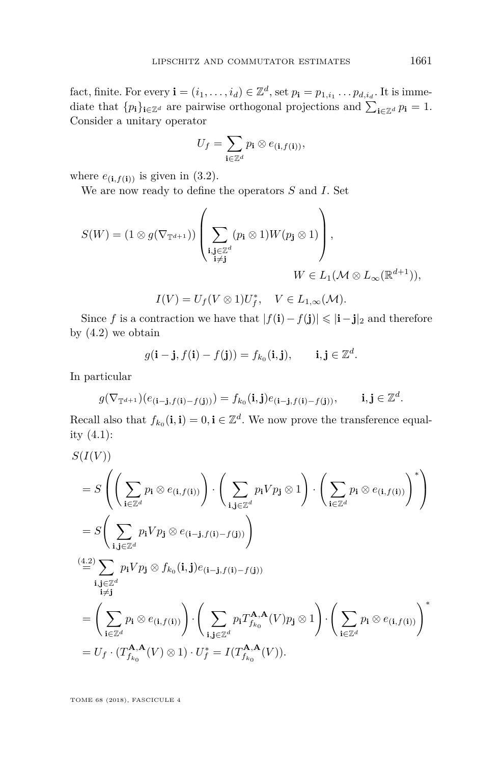fact, finite. For every  $\mathbf{i} = (i_1, \ldots, i_d) \in \mathbb{Z}^d$ , set  $p_{\mathbf{i}} = p_{1,i_1} \ldots p_{d,i_d}$ . It is immediate that  ${p_i}_{i \in \mathbb{Z}^d}$  are pairwise orthogonal projections and  $\sum_{i \in \mathbb{Z}^d} p_i = 1$ . Consider a unitary operator

$$
U_f = \sum_{\mathbf{i} \in \mathbb{Z}^d} p_{\mathbf{i}} \otimes e_{(\mathbf{i},f(\mathbf{i}))},
$$

where  $e_{(i,f(i))}$  is given in [\(3.2\)](#page-8-3).

We are now ready to define the operators *S* and *I.* Set

$$
S(W) = (1 \otimes g(\nabla_{\mathbb{T}^{d+1}})) \left( \sum_{\substack{\mathbf{i}, \mathbf{j} \in \mathbb{Z}^d \\ \mathbf{i} \neq \mathbf{j}}} (p_{\mathbf{i}} \otimes 1) W(p_{\mathbf{j}} \otimes 1) \right),
$$
  

$$
W \in L_1(\mathcal{M} \otimes L_{\infty}(\mathbb{R}^{d+1})),
$$

$$
I(V) = U_f(V \otimes 1)U_f^*, \quad V \in L_{1,\infty}(\mathcal{M}).
$$

Since *f* is a contraction we have that  $|f(i) - f(j)| \leq |i - j|$ <sub>2</sub> and therefore by  $(4.2)$  we obtain

$$
g(\mathbf{i}-\mathbf{j},f(\mathbf{i})-f(\mathbf{j}))=f_{k_0}(\mathbf{i},\mathbf{j}), \qquad \mathbf{i},\mathbf{j}\in\mathbb{Z}^d.
$$

In particular

$$
g(\nabla_{\mathbb{T}^{d+1}})(e_{(\mathbf{i}-\mathbf{j},f(\mathbf{i})-f(\mathbf{j})))}=f_{k_0}(\mathbf{i},\mathbf{j})e_{(\mathbf{i}-\mathbf{j},f(\mathbf{i})-f(\mathbf{j}))},\qquad\mathbf{i},\mathbf{j}\in\mathbb{Z}^d.
$$

Recall also that  $f_{k_0}(\mathbf{i}, \mathbf{i}) = 0, \mathbf{i} \in \mathbb{Z}^d$ . We now prove the transference equality [\(4.1\)](#page-18-2):

$$
S(I(V))
$$
  
\n
$$
= S\left(\left(\sum_{\mathbf{i}\in\mathbb{Z}^d} p_{\mathbf{i}} \otimes e_{(\mathbf{i},f(\mathbf{i}))}\right) \cdot \left(\sum_{\mathbf{i},\mathbf{j}\in\mathbb{Z}^d} p_{\mathbf{i}} V p_{\mathbf{j}} \otimes 1\right) \cdot \left(\sum_{\mathbf{i}\in\mathbb{Z}^d} p_{\mathbf{i}} \otimes e_{(\mathbf{i},f(\mathbf{i}))}\right)^*\right)
$$
  
\n
$$
= S\left(\sum_{\mathbf{i},\mathbf{j}\in\mathbb{Z}^d} p_{\mathbf{i}} V p_{\mathbf{j}} \otimes e_{(\mathbf{i}-\mathbf{j},f(\mathbf{i})-f(\mathbf{j}))}\right)
$$
  
\n
$$
\stackrel{(4.2)}{=} \sum_{\mathbf{i},\mathbf{j}\in\mathbb{Z}^d} p_{\mathbf{i}} V p_{\mathbf{j}} \otimes f_{k_0}(\mathbf{i},\mathbf{j}) e_{(\mathbf{i}-\mathbf{j},f(\mathbf{i})-f(\mathbf{j}))}
$$
  
\n
$$
= \left(\sum_{\mathbf{i}\in\mathbb{Z}^d} p_{\mathbf{i}} \otimes e_{(\mathbf{i},f(\mathbf{i}))}\right) \cdot \left(\sum_{\mathbf{i},\mathbf{j}\in\mathbb{Z}^d} p_{\mathbf{i}} T_{f_{k_0}}^{\mathbf{A},\mathbf{A}}(V) p_{\mathbf{j}} \otimes 1\right) \cdot \left(\sum_{\mathbf{i}\in\mathbb{Z}^d} p_{\mathbf{i}} \otimes e_{(\mathbf{i},f(\mathbf{i}))}\right)^*
$$
  
\n
$$
= U_f \cdot (T_{f_{k_0}}^{\mathbf{A},\mathbf{A}}(V) \otimes 1) \cdot U_f^* = I(T_{f_{k_0}}^{\mathbf{A},\mathbf{A}}(V)).
$$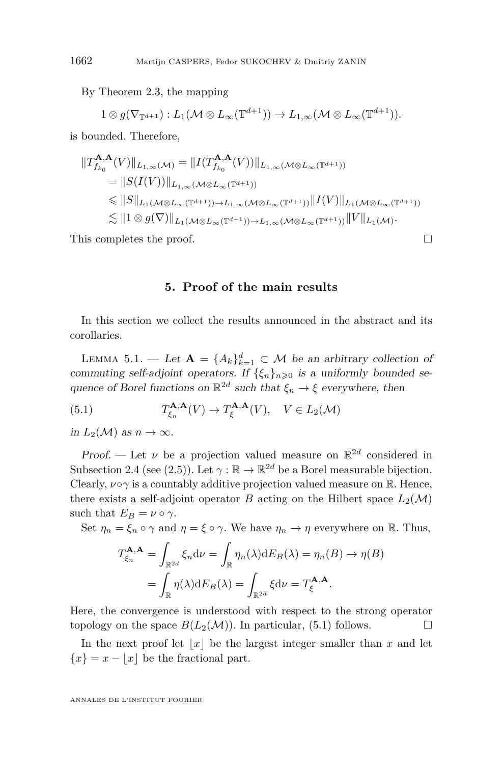By Theorem [2.3,](#page-7-0) the mapping

$$
1 \otimes g(\nabla_{\mathbb{T}^{d+1}}) : L_1(\mathcal{M} \otimes L_\infty(\mathbb{T}^{d+1})) \to L_{1,\infty}(\mathcal{M} \otimes L_\infty(\mathbb{T}^{d+1})).
$$

is bounded. Therefore,

$$
\begin{split} \|T_{f_{k_0}}^{\mathbf{A},\mathbf{A}}(V)\|_{L_{1,\infty}(\mathcal{M})} &= \|I(T_{f_{k_0}}^{\mathbf{A},\mathbf{A}}(V))\|_{L_{1,\infty}(\mathcal{M}\otimes L_{\infty}(\mathbb{T}^{d+1}))} \\ &= \|S(I(V))\|_{L_{1,\infty}(\mathcal{M}\otimes L_{\infty}(\mathbb{T}^{d+1}))} \\ &\le \|S\|_{L_1(\mathcal{M}\otimes L_{\infty}(\mathbb{T}^{d+1}))\to L_{1,\infty}(\mathcal{M}\otimes L_{\infty}(\mathbb{T}^{d+1}))} \|I(V)\|_{L_1(\mathcal{M}\otimes L_{\infty}(\mathbb{T}^{d+1}))} \\ &\lesssim \|1\otimes g(\nabla)\|_{L_1(\mathcal{M}\otimes L_{\infty}(\mathbb{T}^{d+1}))\to L_{1,\infty}(\mathcal{M}\otimes L_{\infty}(\mathbb{T}^{d+1}))} \|V\|_{L_1(\mathcal{M})} .\end{split}
$$

This completes the proof.

#### **5. Proof of the main results**

In this section we collect the results announced in the abstract and its corollaries.

<span id="page-20-1"></span>LEMMA 5.1. — Let  $\mathbf{A} = \{A_k\}_{k=1}^d \subset \mathcal{M}$  be an arbitrary collection of commuting self-adjoint operators. If  $\{\xi_n\}_{n\geq 0}$  is a uniformly bounded sequence of Borel functions on  $\mathbb{R}^{2d}$  such that  $\xi_n \to \xi$  everywhere, then

<span id="page-20-0"></span>(5.1) 
$$
T_{\xi_n}^{\mathbf{A},\mathbf{A}}(V) \to T_{\xi}^{\mathbf{A},\mathbf{A}}(V), \quad V \in L_2(\mathcal{M})
$$

in  $L_2(\mathcal{M})$  as  $n \to \infty$ .

Proof. — Let  $\nu$  be a projection valued measure on  $\mathbb{R}^{2d}$  considered in Subsection [2.4](#page-7-2) (see [\(2.5\)](#page-7-3)). Let  $\gamma : \mathbb{R} \to \mathbb{R}^{2d}$  be a Borel measurable bijection. Clearly,  $\nu \circ \gamma$  is a countably additive projection valued measure on R. Hence, there exists a self-adjoint operator *B* acting on the Hilbert space  $L_2(\mathcal{M})$ such that  $E_B = \nu \circ \gamma$ .

Set  $\eta_n = \xi_n \circ \gamma$  and  $\eta = \xi \circ \gamma$ . We have  $\eta_n \to \eta$  everywhere on R. Thus,

$$
T_{\xi_n}^{\mathbf{A},\mathbf{A}} = \int_{\mathbb{R}^{2d}} \xi_n d\nu = \int_{\mathbb{R}} \eta_n(\lambda) dE_B(\lambda) = \eta_n(B) \to \eta(B)
$$

$$
= \int_{\mathbb{R}} \eta(\lambda) dE_B(\lambda) = \int_{\mathbb{R}^{2d}} \xi d\nu = T_{\xi}^{\mathbf{A},\mathbf{A}}.
$$

Here, the convergence is understood with respect to the strong operator topology on the space  $B(L_2(\mathcal{M}))$ . In particular, [\(5.1\)](#page-20-0) follows.

In the next proof let  $|x|$  be the largest integer smaller than  $x$  and let  ${x} = x - \lfloor x \rfloor$  be the fractional part.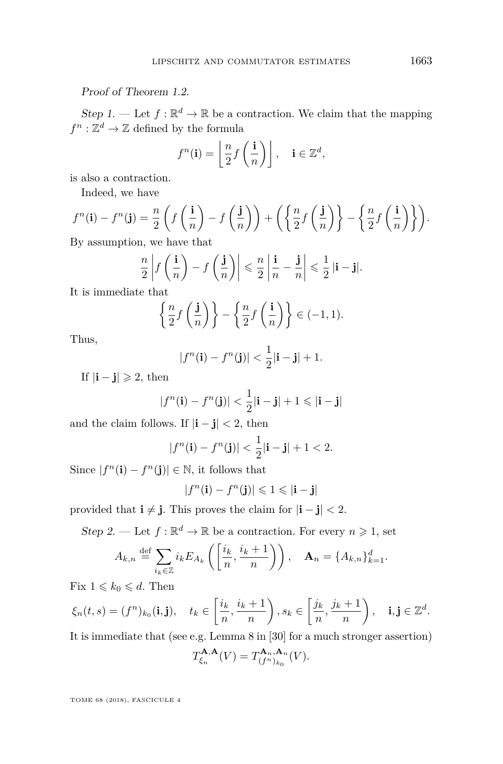#### Proof of Theorem [1.2.](#page-4-0)

Step 1. — Let  $f : \mathbb{R}^d \to \mathbb{R}$  be a contraction. We claim that the mapping  $f^n : \mathbb{Z}^d \to \mathbb{Z}$  defined by the formula

$$
f^{n}(\mathbf{i}) = \left\lfloor \frac{n}{2} f\left(\frac{\mathbf{i}}{n}\right) \right\rfloor, \quad \mathbf{i} \in \mathbb{Z}^{d},
$$

is also a contraction.

Indeed, we have

$$
f^{n}(\mathbf{i}) - f^{n}(\mathbf{j}) = \frac{n}{2} \left( f\left(\frac{\mathbf{i}}{n}\right) - f\left(\frac{\mathbf{j}}{n}\right) \right) + \left( \left\{ \frac{n}{2} f\left(\frac{\mathbf{j}}{n}\right) \right\} - \left\{ \frac{n}{2} f\left(\frac{\mathbf{i}}{n}\right) \right\} \right).
$$

By assumption, we have that

$$
\frac{n}{2}\left|f\left(\frac{\mathbf{i}}{n}\right) - f\left(\frac{\mathbf{j}}{n}\right)\right| \leqslant \frac{n}{2}\left|\frac{\mathbf{i}}{n} - \frac{\mathbf{j}}{n}\right| \leqslant \frac{1}{2}\left|\mathbf{i} - \mathbf{j}\right|.
$$

It is immediate that

$$
\left\{\frac{n}{2}f\left(\frac{\mathbf{j}}{n}\right)\right\} - \left\{\frac{n}{2}f\left(\frac{\mathbf{i}}{n}\right)\right\} \in (-1,1).
$$

Thus,

$$
|f^n(\mathbf{i}) - f^n(\mathbf{j})| < \frac{1}{2}|\mathbf{i} - \mathbf{j}| + 1.
$$

If  $|\mathbf{i} - \mathbf{j}| \geqslant 2$ , then

$$
|f^n(\mathbf{i}) - f^n(\mathbf{j})| < \frac{1}{2}|\mathbf{i} - \mathbf{j}| + 1 \leq |\mathbf{i} - \mathbf{j}|
$$

and the claim follows. If  $|\mathbf{i} - \mathbf{j}| < 2$ , then

$$
|f^{n}(\mathbf{i}) - f^{n}(\mathbf{j})| < \frac{1}{2}|\mathbf{i} - \mathbf{j}| + 1 < 2.
$$

Since  $|f^n(\mathbf{i}) - f^n(\mathbf{j})| \in \mathbb{N}$ , it follows that

$$
|f^n(\mathbf{i}) - f^n(\mathbf{j})| \leq 1 \leq |\mathbf{i} - \mathbf{j}|
$$

provided that  $\mathbf{i} \neq \mathbf{j}$ *.* This proves the claim for  $|\mathbf{i} - \mathbf{j}| < 2$ *.* 

Step 2. — Let  $f : \mathbb{R}^d \to \mathbb{R}$  be a contraction. For every  $n \geq 1$ , set

$$
A_{k,n} \stackrel{\text{def}}{=} \sum_{i_k \in \mathbb{Z}} i_k E_{A_k} \left( \left[ \frac{i_k}{n}, \frac{i_k+1}{n} \right] \right), \quad \mathbf{A}_n = \{ A_{k,n} \}_{k=1}^d.
$$

Fix  $1 \leq k_0 \leq d$ . Then

$$
\xi_n(t,s)=(f^n)_{k_0}(\mathbf{i},\mathbf{j}),\quad t_k\in\left[\frac{i_k}{n},\frac{i_k+1}{n}\right), s_k\in\left[\frac{j_k}{n},\frac{j_k+1}{n}\right),\quad \mathbf{i},\mathbf{j}\in\mathbb{Z}^d.
$$

It is immediate that (see e.g. Lemma 8 in [\[30\]](#page-26-21) for a much stronger assertion)

$$
T_{\xi_n}^{\mathbf{A},\mathbf{A}}(V) = T_{(f^n)_{k_0}}^{\mathbf{A}_n,\mathbf{A}_n}(V).
$$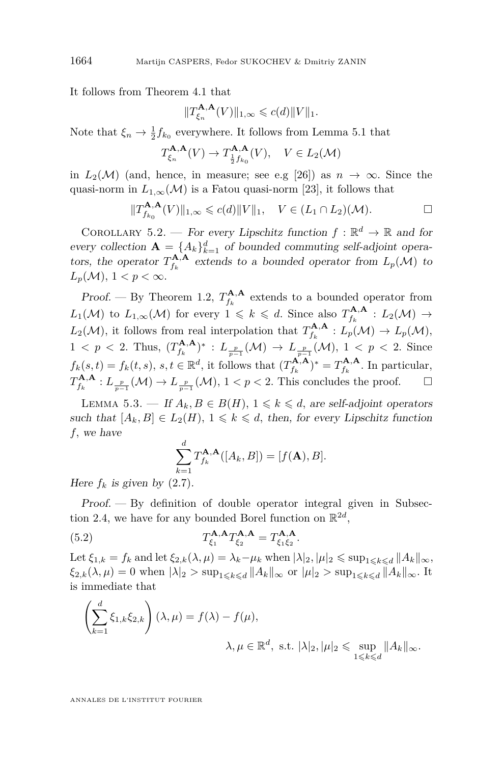It follows from Theorem [4.1](#page-18-1) that

$$
||T_{\xi_n}^{\mathbf{A},\mathbf{A}}(V)||_{1,\infty} \leqslant c(d)||V||_1.
$$

Note that  $\xi_n \to \frac{1}{2} f_{k_0}$  everywhere. It follows from Lemma [5.1](#page-20-1) that

$$
T_{\xi_n}^{\mathbf{A},\mathbf{A}}(V) \to T_{\frac{1}{2}f_{k_0}}^{\mathbf{A},\mathbf{A}}(V), \quad V \in L_2(\mathcal{M})
$$

in  $L_2(\mathcal{M})$  (and, hence, in measure; see e.g [\[26\]](#page-26-8)) as  $n \to \infty$ . Since the quasi-norm in  $L_{1,\infty}(\mathcal{M})$  is a Fatou quasi-norm [\[23\]](#page-26-19), it follows that

$$
||T_{f_{k_0}}^{\mathbf{A},\mathbf{A}}(V)||_{1,\infty} \leqslant c(d)||V||_1, \quad V \in (L_1 \cap L_2)(\mathcal{M}).
$$

<span id="page-22-1"></span>COROLLARY 5.2. — For every Lipschitz function  $f : \mathbb{R}^d \to \mathbb{R}$  and for every collection  $\mathbf{A} = \{A_k\}_{k=1}^d$  of bounded commuting self-adjoint operators, the operator  $T_{f_k}^{\mathbf{A}, \mathbf{A}}$  extends to a bounded operator from  $L_p(\mathcal{M})$  to  $L_p(\mathcal{M}), 1 < p < \infty$ .

Proof. — By Theorem [1.2,](#page-4-0)  $T_{f_k}^{A,A}$  extends to a bounded operator from  $L_1(\mathcal{M})$  to  $L_{1,\infty}(\mathcal{M})$  for every  $1 \leq k \leq d$ . Since also  $T_{f_k}^{\mathbf{A},\mathbf{A}}: L_2(\mathcal{M}) \to$  $L_2(\mathcal{M})$ , it follows from real interpolation that  $T_{f_k}^{\mathbf{A},\mathbf{A}}: L_p(\mathcal{M}) \to L_p(\mathcal{M})$ ,  $1 < p < 2$ . Thus,  $(T_{f_k}^{A,A})^* : L_{\frac{p}{p-1}}(\mathcal{M}) \to L_{\frac{p}{p-1}}(\mathcal{M}), 1 < p < 2$ . Since  $f_k(s,t) = f_k(t,s), s,t \in \mathbb{R}^d$ , it follows that  $(T_{f_k}^{\mathbf{A},\mathbf{A}})^* = T_{f_k}^{\mathbf{A},\mathbf{A}}$ . In particular,  $T_{f_k}^{\mathbf{A}, \mathbf{A}}: L_{\frac{p}{p-1}}(\mathcal{M}) \to L_{\frac{p}{p-1}}(\mathcal{M}), 1 \lt p \lt 2$ . This concludes the proof.  $\Box$ 

<span id="page-22-2"></span>LEMMA 5.3. — If  $A_k, B \in B(H)$ ,  $1 \leq k \leq d$ , are self-adjoint operators such that  $[A_k, B] \in L_2(H)$ ,  $1 \leq k \leq d$ , then, for every Lipschitz function *f,* we have

<span id="page-22-0"></span>
$$
\sum_{k=1}^d T_{f_k}^{\mathbf{A},\mathbf{A}}([A_k, B]) = [f(\mathbf{A}), B].
$$

Here  $f_k$  is given by  $(2.7)$ .

Proof. — By definition of double operator integral given in Subsec-tion [2.4,](#page-7-2) we have for any bounded Borel function on  $\mathbb{R}^{2d}$ ,

(5.2) 
$$
T_{\xi_1}^{\mathbf{A},\mathbf{A}}T_{\xi_2}^{\mathbf{A},\mathbf{A}}=T_{\xi_1\xi_2}^{\mathbf{A},\mathbf{A}}.
$$

Let  $\xi_{1,k} = f_k$  and let  $\xi_{2,k}(\lambda, \mu) = \lambda_k - \mu_k$  when  $|\lambda|_2, |\mu|_2 \leq \sup_{1 \leq k \leq d} ||A_k||_{\infty}$ ,  $\xi_{2,k}(\lambda,\mu) = 0$  when  $|\lambda|_2 > \sup_{1 \leqslant k \leqslant d} ||A_k||_{\infty}$  or  $|\mu|_2 > \sup_{1 \leqslant k \leqslant d} ||A_k||_{\infty}$ . It is immediate that

$$
\left(\sum_{k=1}^{d} \xi_{1,k} \xi_{2,k}\right) (\lambda, \mu) = f(\lambda) - f(\mu),
$$
  

$$
\lambda, \mu \in \mathbb{R}^{d}, \text{ s.t. } |\lambda|_{2}, |\mu|_{2} \leq \sup_{1 \leq k \leq d} ||A_{k}||_{\infty}.
$$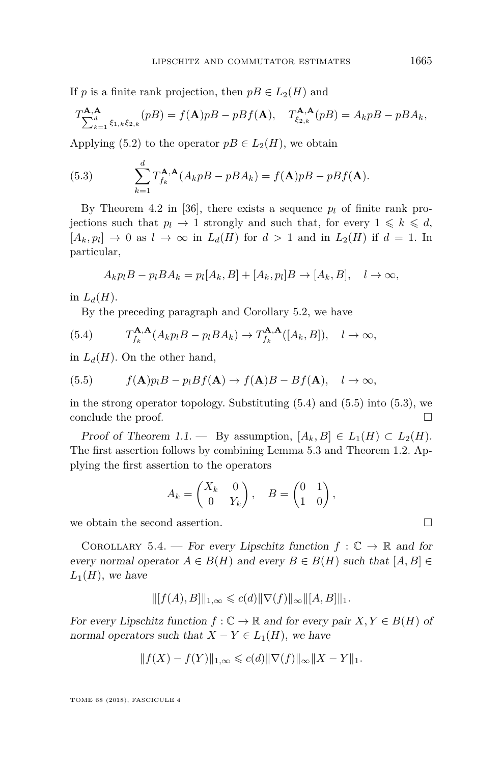If *p* is a finite rank projection, then  $pB \in L_2(H)$  and

$$
T_{\sum_{k=1}^d \xi_{1,k}\xi_{2,k}}^{\mathbf{A},\mathbf{A}}(pB) = f(\mathbf{A})p + pBf(\mathbf{A}), \quad T_{\xi_{2,k}}^{\mathbf{A},\mathbf{A}}(pB) = A_k p + pBA_k,
$$

Applying [\(5.2\)](#page-22-0) to the operator  $pB \in L_2(H)$ , we obtain

<span id="page-23-3"></span>(5.3) 
$$
\sum_{k=1}^{d} T_{f_k}^{\mathbf{A},\mathbf{A}} (A_k p B - p B A_k) = f(\mathbf{A}) p B - p B f(\mathbf{A}).
$$

By Theorem 4.2 in [\[36\]](#page-27-5), there exists a sequence  $p_l$  of finite rank projections such that  $p_l \to 1$  strongly and such that, for every  $1 \leq k \leq d$ ,  $[A_k, p_l] \rightarrow 0$  as  $l \rightarrow \infty$  in  $L_d(H)$  for  $d > 1$  and in  $L_2(H)$  if  $d = 1$ . In particular,

$$
A_k p_l B - p_l B A_k = p_l [A_k, B] + [A_k, p_l] B \rightarrow [A_k, B], \quad l \rightarrow \infty,
$$

in  $L_d(H)$ .

<span id="page-23-1"></span>By the preceding paragraph and Corollary [5.2,](#page-22-1) we have

(5.4) 
$$
T_{f_k}^{\mathbf{A},\mathbf{A}}(A_k p_l B - p_l B A_k) \to T_{f_k}^{\mathbf{A},\mathbf{A}}([A_k, B]), \quad l \to \infty,
$$

in  $L_d(H)$ . On the other hand,

<span id="page-23-2"></span>(5.5) 
$$
f(\mathbf{A})p_lB - p_lBf(\mathbf{A}) \to f(\mathbf{A})B - Bf(\mathbf{A}), \quad l \to \infty,
$$

in the strong operator topology. Substituting [\(5.4\)](#page-23-1) and [\(5.5\)](#page-23-2) into [\(5.3\)](#page-23-3), we conclude the proof.  $\Box$ 

Proof of Theorem [1.1.](#page-3-0) — By assumption,  $[A_k, B] \in L_1(H) \subset L_2(H)$ . The first assertion follows by combining Lemma [5.3](#page-22-2) and Theorem [1.2.](#page-4-0) Applying the first assertion to the operators

$$
A_k = \begin{pmatrix} X_k & 0 \\ 0 & Y_k \end{pmatrix}, \quad B = \begin{pmatrix} 0 & 1 \\ 1 & 0 \end{pmatrix},
$$

we obtain the second assertion.  $\hfill \square$ 

<span id="page-23-0"></span>COROLLARY 5.4. — For every Lipschitz function  $f : \mathbb{C} \to \mathbb{R}$  and for every normal operator  $A \in B(H)$  and every  $B \in B(H)$  such that  $[A, B] \in$  $L_1(H)$ *, we have* 

$$
\| [f(A), B] \|_{1, \infty} \leqslant c(d) \| \nabla(f) \|_{\infty} \| [A, B] \|_{1}.
$$

For every Lipschitz function  $f : \mathbb{C} \to \mathbb{R}$  and for every pair  $X, Y \in B(H)$  of normal operators such that  $X - Y \in L_1(H)$ , we have

$$
||f(X) - f(Y)||_{1,\infty} \leq c(d) ||\nabla(f)||_{\infty} ||X - Y||_1.
$$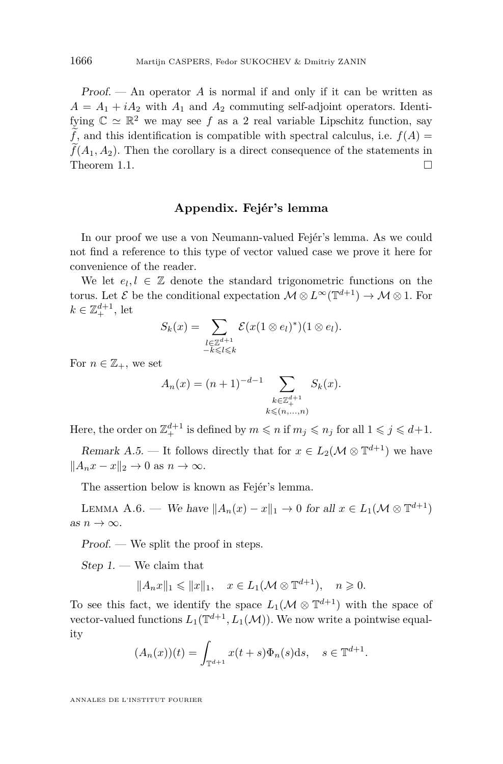Proof. — An operator *A* is normal if and only if it can be written as  $A = A_1 + iA_2$  with  $A_1$  and  $A_2$  commuting self-adjoint operators. Identifying  $\mathbb{C} \simeq \mathbb{R}^2$  we may see f as a 2 real variable Lipschitz function, say  $\tilde{f}$ , and this identification is compatible with spectral calculus, i.e.  $f(A)$  $f(A_1, A_2)$ . Then the corollary is a direct consequence of the statements in Theorem 1.1. Theorem [1.1.](#page-3-0)

#### **Appendix. Fejér's lemma**

In our proof we use a von Neumann-valued Fejér's lemma. As we could not find a reference to this type of vector valued case we prove it here for convenience of the reader.

We let  $e_l, l \in \mathbb{Z}$  denote the standard trigonometric functions on the torus. Let  $\mathcal{E}$  be the conditional expectation  $\mathcal{M} \otimes L^{\infty}(\mathbb{T}^{d+1}) \to \mathcal{M} \otimes 1$ . For  $k \in \mathbb{Z}_+^{d+1}$ , let

$$
S_k(x) = \sum_{\substack{l \in \mathbb{Z}^{d+1} \\ -k \leq l \leq k}} \mathcal{E}(x(1 \otimes e_l)^*)(1 \otimes e_l).
$$

For  $n \in \mathbb{Z}_+$ , we set

$$
A_n(x) = (n+1)^{-d-1} \sum_{\substack{k \in \mathbb{Z}_+^{d+1} \\ k \le (n, ..., n)}} S_k(x).
$$

Here, the order on  $\mathbb{Z}_{+}^{d+1}$  is defined by  $m \leqslant n$  if  $m_j \leqslant n_j$  for all  $1 \leqslant j \leqslant d+1$ .

<span id="page-24-1"></span>Remark A.5. — It follows directly that for  $x \in L_2(\mathcal{M} \otimes \mathbb{T}^{d+1})$  we have  $||A_n x - x||_2 \to 0$  as  $n \to \infty$ .

The assertion below is known as Fejér's lemma.

<span id="page-24-0"></span>LEMMA A.6. — We have  $||A_n(x) - x||_1 \to 0$  for all  $x \in L_1(\mathcal{M} \otimes \mathbb{T}^{d+1})$ as  $n \to \infty$ .

Proof. — We split the proof in steps.

 $Step 1.$  We claim that

$$
||A_nx||_1 \le ||x||_1, \quad x \in L_1(\mathcal{M} \otimes \mathbb{T}^{d+1}), \quad n \ge 0.
$$

To see this fact, we identify the space  $L_1(\mathcal{M} \otimes \mathbb{T}^{d+1})$  with the space of vector-valued functions  $L_1(\mathbb{T}^{d+1}, L_1(\mathcal{M}))$ . We now write a pointwise equality

$$
(A_n(x))(t) = \int_{\mathbb{T}^{d+1}} x(t+s)\Phi_n(s)ds, \quad s \in \mathbb{T}^{d+1}.
$$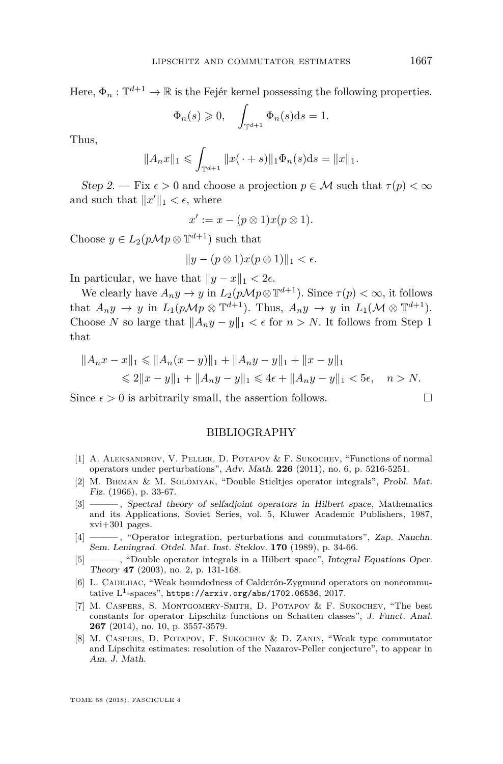Here,  $\Phi_n: \mathbb{T}^{d+1} \to \mathbb{R}$  is the Fejér kernel possessing the following properties.

$$
\Phi_n(s) \geq 0, \quad \int_{\mathbb{T}^{d+1}} \Phi_n(s) \mathrm{d}s = 1.
$$

Thus,

$$
||A_nx||_1 \leq \int_{\mathbb{T}^{d+1}} ||x(\cdot+s)||_1 \Phi_n(s) \mathrm{d} s = ||x||_1.
$$

Step 2. — Fix  $\epsilon > 0$  and choose a projection  $p \in \mathcal{M}$  such that  $\tau(p) < \infty$ and such that  $||x'||_1 < \epsilon$ , where

$$
x' := x - (p \otimes 1)x(p \otimes 1).
$$

Choose  $y \in L_2(p\mathcal{M}p \otimes \mathbb{T}^{d+1})$  such that

$$
||y - (p \otimes 1)x(p \otimes 1)||_1 < \epsilon.
$$

In particular, we have that  $||y - x||_1 < 2\epsilon$ .

We clearly have  $A_n y \to y$  in  $L_2(p \mathcal{M} p \otimes \mathbb{T}^{d+1})$ *.* Since  $\tau(p) < \infty$ , it follows that  $A_n y \to y$  in  $L_1(p \mathcal{M} p \otimes \mathbb{T}^{d+1})$ . Thus,  $A_n y \to y$  in  $L_1(\mathcal{M} \otimes \mathbb{T}^{d+1})$ . Choose *N* so large that  $||A_n y - y||_1 < \epsilon$  for  $n > N$ . It follows from Step 1 that

$$
||A_nx - x||_1 \le ||A_n(x - y)||_1 + ||A_ny - y||_1 + ||x - y||_1
$$
  
\n
$$
\le 2||x - y||_1 + ||A_ny - y||_1 \le 4\epsilon + ||A_ny - y||_1 < 5\epsilon, \quad n > N.
$$

Since  $\epsilon > 0$  is arbitrarily small, the assertion follows.

#### BIBLIOGRAPHY

- <span id="page-25-0"></span>[1] A. Aleksandrov, V. Peller, D. Potapov & F. Sukochev, "Functions of normal operators under perturbations", Adv. Math. **226** (2011), no. 6, p. 5216-5251.
- <span id="page-25-1"></span>[2] M. Birman & M. Solomyak, "Double Stieltjes operator integrals", Probl. Mat. Fiz. (1966), p. 33-67.
- <span id="page-25-7"></span>[3] ——— , Spectral theory of selfadjoint operators in Hilbert space, Mathematics and its Applications, Soviet Series, vol. 5, Kluwer Academic Publishers, 1987, xvi+301 pages.
- <span id="page-25-3"></span>[4] ——— , "Operator integration, perturbations and commutators", Zap. Nauchn. Sem. Leningrad. Otdel. Mat. Inst. Steklov. **170** (1989), p. 34-66.
- <span id="page-25-2"></span>[5] ——— , "Double operator integrals in a Hilbert space", Integral Equations Oper. Theory **47** (2003), no. 2, p. 131-168.
- <span id="page-25-6"></span>[6] L. CADILHAC, "Weak boundedness of Calderón-Zygmund operators on noncommutative  $\mathrm{L}^1$ -spaces", <https://arxiv.org/abs/1702.06536>, 2017.
- <span id="page-25-4"></span>[7] M. Caspers, S. Montgomery-Smith, D. Potapov & F. Sukochev, "The best constants for operator Lipschitz functions on Schatten classes", J. Funct. Anal. **267** (2014), no. 10, p. 3557-3579.
- <span id="page-25-5"></span>[8] M. Caspers, D. Potapov, F. Sukochev & D. Zanin, "Weak type commutator and Lipschitz estimates: resolution of the Nazarov-Peller conjecture", to appear in Am. J. Math.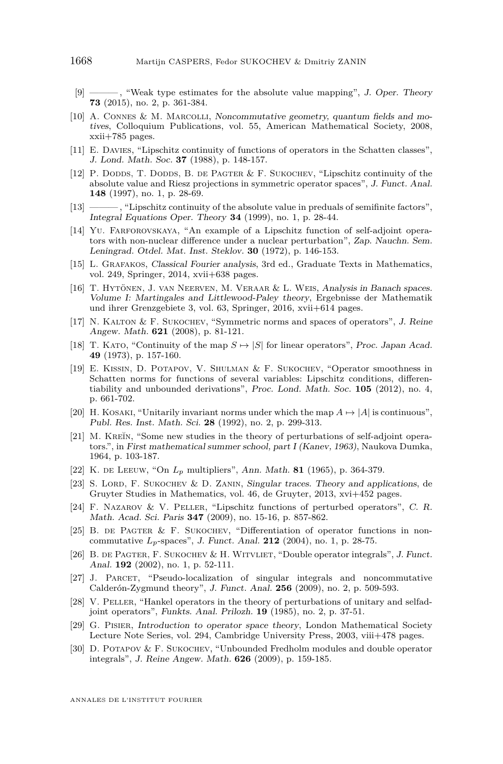- <span id="page-26-13"></span>[9] ——— , "Weak type estimates for the absolute value mapping", J. Oper. Theory **73** (2015), no. 2, p. 361-384.
- <span id="page-26-0"></span>[10] A. Connes & M. Marcolli, Noncommutative geometry, quantum fields and motives, Colloquium Publications, vol. 55, American Mathematical Society, 2008, xxii+785 pages.
- <span id="page-26-4"></span>[11] E. Davies, "Lipschitz continuity of functions of operators in the Schatten classes", J. Lond. Math. Soc. **37** (1988), p. 148-157.
- <span id="page-26-9"></span>[12] P. DODDS, T. DODDS, B. DE PAGTER & F. SUKOCHEV, "Lipschitz continuity of the absolute value and Riesz projections in symmetric operator spaces", J. Funct. Anal. **148** (1997), no. 1, p. 28-69.
- <span id="page-26-14"></span>[13] ——— , "Lipschitz continuity of the absolute value in preduals of semifinite factors", Integral Equations Oper. Theory **34** (1999), no. 1, p. 28-44.
- <span id="page-26-2"></span>[14] Yu. Farforovskaya, "An example of a Lipschitz function of self-adjoint operators with non-nuclear difference under a nuclear perturbation", Zap. Nauchn. Sem. Leningrad. Otdel. Mat. Inst. Steklov. **30** (1972), p. 146-153.
- <span id="page-26-16"></span>[15] L. Grafakos, Classical Fourier analysis, 3rd ed., Graduate Texts in Mathematics, vol. 249, Springer, 2014, xvii+638 pages.
- <span id="page-26-11"></span>[16] T. Hytönen, J. van Neerven, M. Veraar & L. Weis, Analysis in Banach spaces. Volume I: Martingales and Littlewood-Paley theory, Ergebnisse der Mathematik und ihrer Grenzgebiete 3, vol. 63, Springer, 2016, xvii+614 pages.
- <span id="page-26-20"></span>[17] N. Kalton & F. Sukochev, "Symmetric norms and spaces of operators", J. Reine Angew. Math. **621** (2008), p. 81-121.
- <span id="page-26-5"></span>[18] T. KATO, "Continuity of the map  $S \mapsto |S|$  for linear operators", Proc. Japan Acad. **49** (1973), p. 157-160.
- <span id="page-26-17"></span>[19] E. Kissin, D. Potapov, V. Shulman & F. Sukochev, "Operator smoothness in Schatten norms for functions of several variables: Lipschitz conditions, differentiability and unbounded derivations", Proc. Lond. Math. Soc. **105** (2012), no. 4, p. 661-702.
- <span id="page-26-6"></span>[20] H. KOSAKI, "Unitarily invariant norms under which the map  $A \mapsto |A|$  is continuous", Publ. Res. Inst. Math. Sci. **28** (1992), no. 2, p. 299-313.
- <span id="page-26-1"></span>[21] M. KREĬN, "Some new studies in the theory of perturbations of self-adjoint operators.", in First mathematical summer school, part I (Kanev, 1963), Naukova Dumka, 1964, p. 103-187.
- <span id="page-26-18"></span>[22] K. de Leeuw, "On *L<sup>p</sup>* multipliers", Ann. Math. **81** (1965), p. 364-379.
- <span id="page-26-19"></span>[23] S. Lord, F. Sukochev & D. Zanin, Singular traces. Theory and applications, de Gruyter Studies in Mathematics, vol. 46, de Gruyter, 2013, xvi+452 pages.
- <span id="page-26-12"></span>[24] F. Nazarov & V. Peller, "Lipschitz functions of perturbed operators", C. R. Math. Acad. Sci. Paris **347** (2009), no. 15-16, p. 857-862.
- <span id="page-26-7"></span>[25] B. DE PAGTER & F. SUKOCHEV, "Differentiation of operator functions in noncommutative *Lp*-spaces", J. Funct. Anal. **212** (2004), no. 1, p. 28-75.
- <span id="page-26-8"></span>[26] B. DE PAGTER, F. SUKOCHEV & H. WITVLIET, "Double operator integrals", J. Funct. Anal. **192** (2002), no. 1, p. 52-111.
- <span id="page-26-15"></span>[27] J. Parcet, "Pseudo-localization of singular integrals and noncommutative Calderón-Zygmund theory", J. Funct. Anal. **256** (2009), no. 2, p. 509-593.
- <span id="page-26-3"></span>[28] V. Peller, "Hankel operators in the theory of perturbations of unitary and selfadjoint operators", Funkts. Anal. Prilozh. **19** (1985), no. 2, p. 37-51.
- <span id="page-26-10"></span>[29] G. Pisier, Introduction to operator space theory, London Mathematical Society Lecture Note Series, vol. 294, Cambridge University Press, 2003, viii+478 pages.
- <span id="page-26-21"></span>[30] D. POTAPOV & F. SUKOCHEV, "Unbounded Fredholm modules and double operator integrals", J. Reine Angew. Math. **626** (2009), p. 159-185.